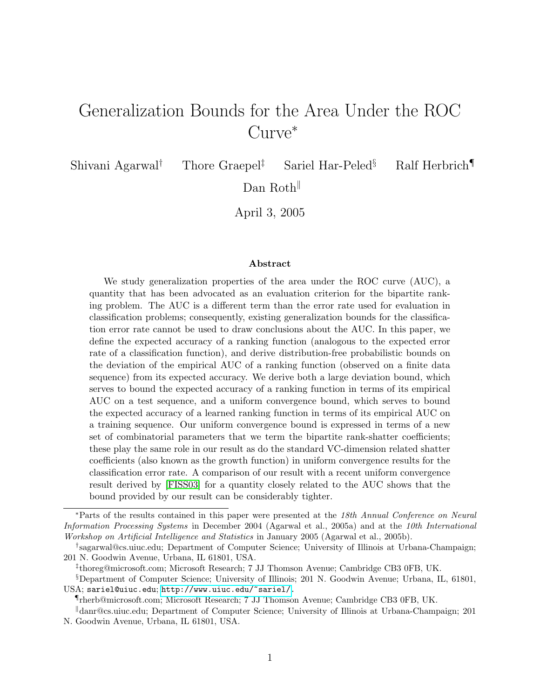# Generalization Bounds for the Area Under the ROC Curve<sup>∗</sup>

Shivani Agarwal<sup>†</sup> Thore Graepel<sup>‡</sup> Sariel Har-Peled<sup>§</sup> Ralf Herbrich

Dan Roth

April 3, 2005

#### Abstract

We study generalization properties of the area under the ROC curve (AUC), a quantity that has been advocated as an evaluation criterion for the bipartite ranking problem. The AUC is a different term than the error rate used for evaluation in classification problems; consequently, existing generalization bounds for the classification error rate cannot be used to draw conclusions about the AUC. In this paper, we define the expected accuracy of a ranking function (analogous to the expected error rate of a classification function), and derive distribution-free probabilistic bounds on the deviation of the empirical AUC of a ranking function (observed on a finite data sequence) from its expected accuracy. We derive both a large deviation bound, which serves to bound the expected accuracy of a ranking function in terms of its empirical AUC on a test sequence, and a uniform convergence bound, which serves to bound the expected accuracy of a learned ranking function in terms of its empirical AUC on a training sequence. Our uniform convergence bound is expressed in terms of a new set of combinatorial parameters that we term the bipartite rank-shatter coefficients; these play the same role in our result as do the standard VC-dimension related shatter coefficients (also known as the growth function) in uniform convergence results for the classification error rate. A comparison of our result with a recent uniform convergence result derived by [\[FISS03\]](#page-32-0) for a quantity closely related to the AUC shows that the bound provided by our result can be considerably tighter.

<sup>∗</sup>Parts of the results contained in this paper were presented at the 18th Annual Conference on Neural Information Processing Systems in December 2004 (Agarwal et al., 2005a) and at the 10th International Workshop on Artificial Intelligence and Statistics in January 2005 (Agarwal et al., 2005b).

<sup>†</sup> sagarwal@cs.uiuc.edu; Department of Computer Science; University of Illinois at Urbana-Champaign; 201 N. Goodwin Avenue, Urbana, IL 61801, USA.

<sup>‡</sup> thoreg@microsoft.com; Microsoft Research; 7 JJ Thomson Avenue; Cambridge CB3 0FB, UK.

<sup>§</sup>Department of Computer Science; University of Illinois; 201 N. Goodwin Avenue; Urbana, IL, 61801, USA; sariel@uiuc.edu; [http://www.uiuc.edu/~sariel/.](http://www.uiuc.edu/~sariel/)

<sup>¶</sup>rherb@microsoft.com; Microsoft Research; 7 JJ Thomson Avenue; Cambridge CB3 0FB, UK.

<sup>k</sup>danr@cs.uiuc.edu; Department of Computer Science; University of Illinois at Urbana-Champaign; 201

N. Goodwin Avenue, Urbana, IL 61801, USA.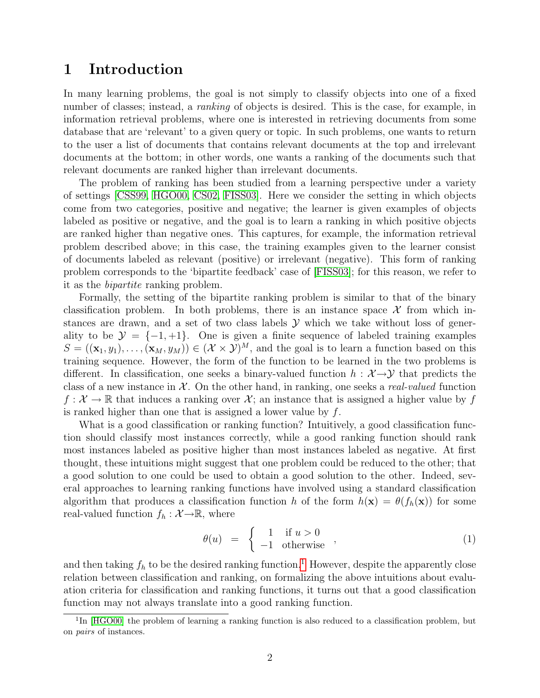### <span id="page-1-2"></span>1 Introduction

In many learning problems, the goal is not simply to classify objects into one of a fixed number of classes; instead, a *ranking* of objects is desired. This is the case, for example, in information retrieval problems, where one is interested in retrieving documents from some database that are 'relevant' to a given query or topic. In such problems, one wants to return to the user a list of documents that contains relevant documents at the top and irrelevant documents at the bottom; in other words, one wants a ranking of the documents such that relevant documents are ranked higher than irrelevant documents.

The problem of ranking has been studied from a learning perspective under a variety of settings [\[CSS99,](#page-32-1) [HGO00,](#page-32-2) [CS02,](#page-31-0) [FISS03\]](#page-32-0). Here we consider the setting in which objects come from two categories, positive and negative; the learner is given examples of objects labeled as positive or negative, and the goal is to learn a ranking in which positive objects are ranked higher than negative ones. This captures, for example, the information retrieval problem described above; in this case, the training examples given to the learner consist of documents labeled as relevant (positive) or irrelevant (negative). This form of ranking problem corresponds to the 'bipartite feedback' case of [\[FISS03\]](#page-32-0); for this reason, we refer to it as the bipartite ranking problem.

Formally, the setting of the bipartite ranking problem is similar to that of the binary classification problem. In both problems, there is an instance space  $\mathcal X$  from which instances are drawn, and a set of two class labels  $\mathcal Y$  which we take without loss of generality to be  $\mathcal{Y} = \{-1, +1\}$ . One is given a finite sequence of labeled training examples  $S = ((\mathbf{x}_1, y_1), \ldots, (\mathbf{x}_M, y_M)) \in (\mathcal{X} \times \mathcal{Y})^M$ , and the goal is to learn a function based on this training sequence. However, the form of the function to be learned in the two problems is different. In classification, one seeks a binary-valued function  $h : \mathcal{X} \rightarrow \mathcal{Y}$  that predicts the class of a new instance in  $\mathcal{X}$ . On the other hand, in ranking, one seeks a *real-valued* function  $f: \mathcal{X} \to \mathbb{R}$  that induces a ranking over  $\mathcal{X}$ ; an instance that is assigned a higher value by f is ranked higher than one that is assigned a lower value by f.

What is a good classification or ranking function? Intuitively, a good classification function should classify most instances correctly, while a good ranking function should rank most instances labeled as positive higher than most instances labeled as negative. At first thought, these intuitions might suggest that one problem could be reduced to the other; that a good solution to one could be used to obtain a good solution to the other. Indeed, several approaches to learning ranking functions have involved using a standard classification algorithm that produces a classification function h of the form  $h(\mathbf{x}) = \theta(f_h(\mathbf{x}))$  for some real-valued function  $f_h : \mathcal{X} \rightarrow \mathbb{R}$ , where

<span id="page-1-1"></span>
$$
\theta(u) = \begin{cases} 1 & \text{if } u > 0 \\ -1 & \text{otherwise} \end{cases}, \tag{1}
$$

and then taking  $f_h$  to be the desired ranking function.<sup>[1](#page-1-0)</sup> However, despite the apparently close relation between classification and ranking, on formalizing the above intuitions about evaluation criteria for classification and ranking functions, it turns out that a good classification function may not always translate into a good ranking function.

<span id="page-1-0"></span><sup>&</sup>lt;sup>1</sup>In [\[HGO00\]](#page-32-2) the problem of learning a ranking function is also reduced to a classification problem, but on pairs of instances.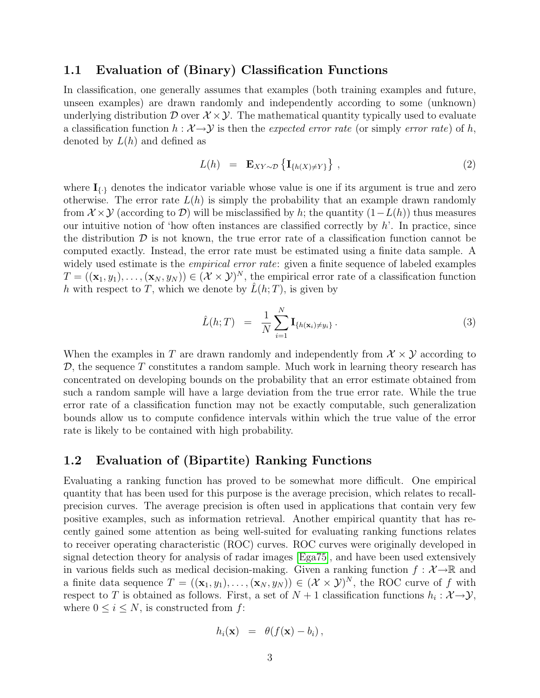### 1.1 Evaluation of (Binary) Classification Functions

In classification, one generally assumes that examples (both training examples and future, unseen examples) are drawn randomly and independently according to some (unknown) underlying distribution  $\mathcal D$  over  $\mathcal X \times \mathcal Y$ . The mathematical quantity typically used to evaluate a classification function  $h : \mathcal{X} \to \mathcal{Y}$  is then the expected error rate (or simply error rate) of h, denoted by  $L(h)$  and defined as

$$
L(h) = \mathbf{E}_{XY \sim \mathcal{D}} \left\{ \mathbf{I}_{\{h(X) \neq Y\}} \right\}, \tag{2}
$$

where  $I_{\{\cdot\}}$  denotes the indicator variable whose value is one if its argument is true and zero otherwise. The error rate  $L(h)$  is simply the probability that an example drawn randomly from  $\mathcal{X} \times \mathcal{Y}$  (according to  $\mathcal{D}$ ) will be misclassified by h; the quantity  $(1-L(h))$  thus measures our intuitive notion of 'how often instances are classified correctly by  $h'$ . In practice, since the distribution  $\mathcal D$  is not known, the true error rate of a classification function cannot be computed exactly. Instead, the error rate must be estimated using a finite data sample. A widely used estimate is the *empirical error rate*: given a finite sequence of labeled examples  $T = ((\mathbf{x}_1, y_1), \ldots, (\mathbf{x}_N, y_N)) \in (\mathcal{X} \times \mathcal{Y})^N$ , the empirical error rate of a classification function h with respect to T, which we denote by  $\hat{L}(h;T)$ , is given by

$$
\hat{L}(h;T) = \frac{1}{N} \sum_{i=1}^{N} \mathbf{I}_{\{h(\mathbf{x}_i) \neq y_i\}}.
$$
\n(3)

When the examples in T are drawn randomly and independently from  $\mathcal{X} \times \mathcal{Y}$  according to  $\mathcal{D}$ , the sequence T constitutes a random sample. Much work in learning theory research has concentrated on developing bounds on the probability that an error estimate obtained from such a random sample will have a large deviation from the true error rate. While the true error rate of a classification function may not be exactly computable, such generalization bounds allow us to compute confidence intervals within which the true value of the error rate is likely to be contained with high probability.

### 1.2 Evaluation of (Bipartite) Ranking Functions

Evaluating a ranking function has proved to be somewhat more difficult. One empirical quantity that has been used for this purpose is the average precision, which relates to recallprecision curves. The average precision is often used in applications that contain very few positive examples, such as information retrieval. Another empirical quantity that has recently gained some attention as being well-suited for evaluating ranking functions relates to receiver operating characteristic (ROC) curves. ROC curves were originally developed in signal detection theory for analysis of radar images [\[Ega75\]](#page-32-3), and have been used extensively in various fields such as medical decision-making. Given a ranking function  $f : \mathcal{X} \rightarrow \mathbb{R}$  and a finite data sequence  $T = ((\mathbf{x}_1, y_1), \ldots, (\mathbf{x}_N, y_N)) \in (\mathcal{X} \times \mathcal{Y})^N$ , the ROC curve of f with respect to T is obtained as follows. First, a set of  $N+1$  classification functions  $h_i: \mathcal{X} \rightarrow \mathcal{Y}$ , where  $0 \leq i \leq N$ , is constructed from f:

$$
h_i(\mathbf{x}) = \theta(f(\mathbf{x}) - b_i),
$$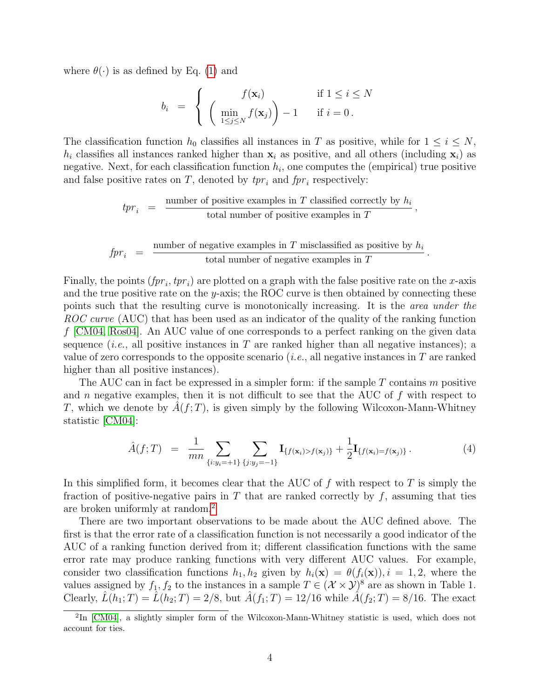where  $\theta(\cdot)$  is as defined by Eq. [\(1\)](#page-1-1) and

$$
b_i = \begin{cases} f(\mathbf{x}_i) & \text{if } 1 \leq i \leq N \\ \left( \min_{1 \leq j \leq N} f(\mathbf{x}_j) \right) - 1 & \text{if } i = 0. \end{cases}
$$

The classification function  $h_0$  classifies all instances in T as positive, while for  $1 \leq i \leq N$ ,  $h_i$  classifies all instances ranked higher than  $x_i$  as positive, and all others (including  $x_i$ ) as negative. Next, for each classification function  $h_i$ , one computes the (empirical) true positive and false positive rates on T, denoted by  $tpr_i$  and  $fpr_i$  respectively:

> $tpr_i$  =  $\frac{\text{number of positive examples in } T \text{ classified correctly by } h_i}{\text{total number of positive examples in } T}$ total number of positive examples in  $T$ ,

$$
fpr_i = \frac{\text{number of negative examples in } T \text{ misclassified as positive by } h_i}{\text{total number of negative examples in } T}.
$$

Finally, the points  $(fpr_i, tpr_i)$  are plotted on a graph with the false positive rate on the x-axis and the true positive rate on the y-axis; the ROC curve is then obtained by connecting these points such that the resulting curve is monotonically increasing. It is the area under the ROC curve (AUC) that has been used as an indicator of the quality of the ranking function f [\[CM04,](#page-31-1) [Ros04\]](#page-33-0). An AUC value of one corresponds to a perfect ranking on the given data sequence (*i.e.*, all positive instances in T are ranked higher than all negative instances); a value of zero corresponds to the opposite scenario (*i.e.*, all negative instances in  $T$  are ranked higher than all positive instances).

The AUC can in fact be expressed in a simpler form: if the sample T contains m positive and n negative examples, then it is not difficult to see that the AUC of  $f$  with respect to T, which we denote by  $\hat{A}(f;T)$ , is given simply by the following Wilcoxon-Mann-Whitney statistic [\[CM04\]](#page-31-1):

<span id="page-3-1"></span>
$$
\hat{A}(f;T) = \frac{1}{mn} \sum_{\{i:y_i = +1\}} \sum_{\{j:y_j = -1\}} \mathbf{I}_{\{f(\mathbf{x}_i) > f(\mathbf{x}_j)\}} + \frac{1}{2} \mathbf{I}_{\{f(\mathbf{x}_i) = f(\mathbf{x}_j)\}}.
$$
\n<sup>(4)</sup>

In this simplified form, it becomes clear that the AUC of  $f$  with respect to  $T$  is simply the fraction of positive-negative pairs in  $T$  that are ranked correctly by  $f$ , assuming that ties are broken uniformly at random.[2](#page-3-0)

There are two important observations to be made about the AUC defined above. The first is that the error rate of a classification function is not necessarily a good indicator of the AUC of a ranking function derived from it; different classification functions with the same error rate may produce ranking functions with very different AUC values. For example, consider two classification functions  $h_1, h_2$  given by  $h_i(\mathbf{x}) = \theta(f_i(\mathbf{x}))$ ,  $i = 1, 2$ , where the values assigned by  $f_1, f_2$  to the instances in a sample  $T \in (\mathcal{X} \times \mathcal{Y})^8$  are as shown in Table 1. Clearly,  $\hat{L}(h_1;T) = \hat{L}(h_2;T) = 2/8$ , but  $\hat{A}(f_1;T) = 12/16$  while  $\hat{A}(f_2;T) = 8/16$ . The exact

<span id="page-3-0"></span><sup>&</sup>lt;sup>2</sup>In [\[CM04\]](#page-31-1), a slightly simpler form of the Wilcoxon-Mann-Whitney statistic is used, which does not account for ties.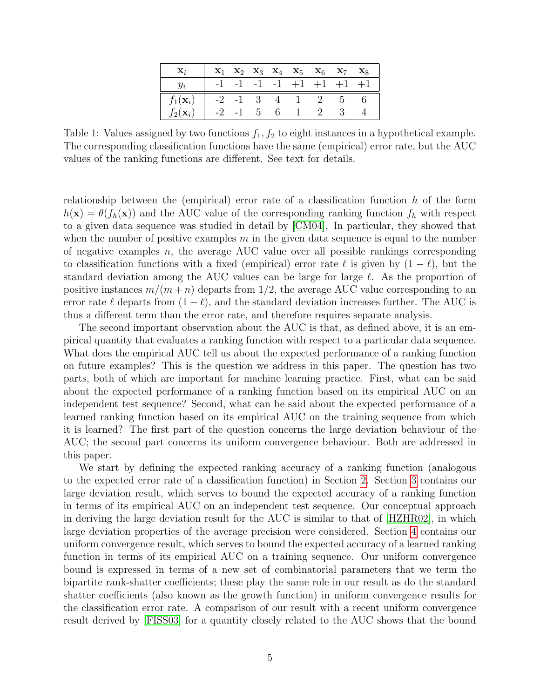| $\mathbf{x}_i$                                                                 |  |  | $\mathbf{x}_1 \quad \mathbf{x}_2 \quad \mathbf{x}_3 \quad \mathbf{x}_4 \quad \mathbf{x}_5 \quad \mathbf{x}_6 \quad \mathbf{x}_7 \quad \mathbf{x}_8$ |  |
|--------------------------------------------------------------------------------|--|--|-----------------------------------------------------------------------------------------------------------------------------------------------------|--|
| $y_i$                                                                          |  |  | $-1$ $-1$ $-1$ $-1$ $+1$ $+1$ $+1$ $+1$                                                                                                             |  |
|                                                                                |  |  |                                                                                                                                                     |  |
| $f_1(\mathbf{x}_i)$ -2 -1 3 4 1 2 5 6<br>$f_2(\mathbf{x}_i)$ -2 -1 5 6 1 2 3 4 |  |  | $-2$ $-1$ 5 6 1 2 3 4                                                                                                                               |  |

Table 1: Values assigned by two functions  $f_1, f_2$  to eight instances in a hypothetical example. The corresponding classification functions have the same (empirical) error rate, but the AUC values of the ranking functions are different. See text for details.

relationship between the (empirical) error rate of a classification function  $h$  of the form  $h(\mathbf{x}) = \theta(f_h(\mathbf{x}))$  and the AUC value of the corresponding ranking function  $f_h$  with respect to a given data sequence was studied in detail by [\[CM04\]](#page-31-1). In particular, they showed that when the number of positive examples  $m$  in the given data sequence is equal to the number of negative examples  $n$ , the average AUC value over all possible rankings corresponding to classification functions with a fixed (empirical) error rate  $\ell$  is given by  $(1 - \ell)$ , but the standard deviation among the AUC values can be large for large  $\ell$ . As the proportion of positive instances  $m/(m+n)$  departs from 1/2, the average AUC value corresponding to an error rate  $\ell$  departs from  $(1 - \ell)$ , and the standard deviation increases further. The AUC is thus a different term than the error rate, and therefore requires separate analysis.

The second important observation about the AUC is that, as defined above, it is an empirical quantity that evaluates a ranking function with respect to a particular data sequence. What does the empirical AUC tell us about the expected performance of a ranking function on future examples? This is the question we address in this paper. The question has two parts, both of which are important for machine learning practice. First, what can be said about the expected performance of a ranking function based on its empirical AUC on an independent test sequence? Second, what can be said about the expected performance of a learned ranking function based on its empirical AUC on the training sequence from which it is learned? The first part of the question concerns the large deviation behaviour of the AUC; the second part concerns its uniform convergence behaviour. Both are addressed in this paper.

We start by defining the expected ranking accuracy of a ranking function (analogous to the expected error rate of a classification function) in Section [2.](#page-5-0) Section [3](#page-6-0) contains our large deviation result, which serves to bound the expected accuracy of a ranking function in terms of its empirical AUC on an independent test sequence. Our conceptual approach in deriving the large deviation result for the AUC is similar to that of [\[HZHR02\]](#page-32-4), in which large deviation properties of the average precision were considered. Section [4](#page-14-0) contains our uniform convergence result, which serves to bound the expected accuracy of a learned ranking function in terms of its empirical AUC on a training sequence. Our uniform convergence bound is expressed in terms of a new set of combinatorial parameters that we term the bipartite rank-shatter coefficients; these play the same role in our result as do the standard shatter coefficients (also known as the growth function) in uniform convergence results for the classification error rate. A comparison of our result with a recent uniform convergence result derived by [\[FISS03\]](#page-32-0) for a quantity closely related to the AUC shows that the bound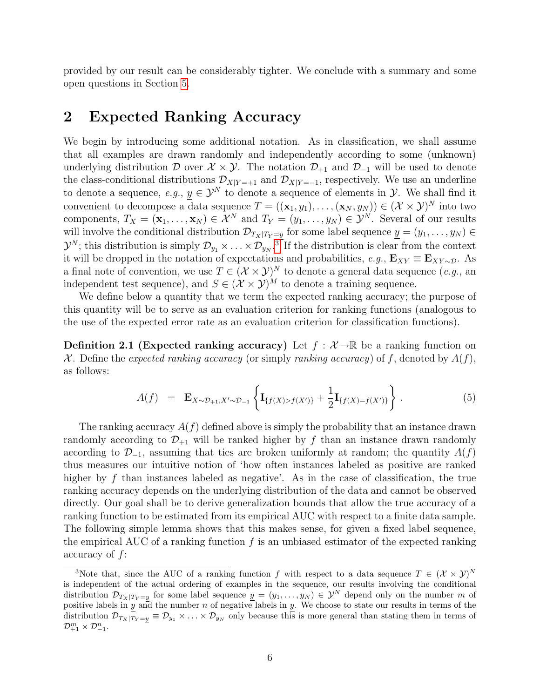provided by our result can be considerably tighter. We conclude with a summary and some open questions in Section [5.](#page-23-0)

# <span id="page-5-0"></span>2 Expected Ranking Accuracy

We begin by introducing some additional notation. As in classification, we shall assume that all examples are drawn randomly and independently according to some (unknown) underlying distribution D over  $\mathcal{X} \times \mathcal{Y}$ . The notation  $\mathcal{D}_{+1}$  and  $\mathcal{D}_{-1}$  will be used to denote the class-conditional distributions  $\mathcal{D}_{X|Y=+1}$  and  $\mathcal{D}_{X|Y=-1}$ , respectively. We use an underline to denote a sequence,  $e.g., y \in \mathcal{Y}^N$  to denote a sequence of elements in  $\mathcal{Y}$ . We shall find it convenient to decompose a data sequence  $T = ((\mathbf{x}_1, y_1), \dots, (\mathbf{x}_N, y_N)) \in (\mathcal{X} \times \mathcal{Y})^N$  into two components,  $T_X = (\mathbf{x}_1, \dots, \mathbf{x}_N) \in \mathcal{X}^N$  and  $T_Y = (y_1, \dots, y_N) \in \mathcal{Y}^N$ . Several of our results will involve the conditional distribution  $\mathcal{D}_{T_X|T_Y=y}$  for some label sequence  $y=(y_1,\ldots,y_N)\in$  $\mathcal{Y}^N$ ; this distribution is simply  $\mathcal{D}_{y_1} \times \ldots \times \mathcal{D}_{y_N}$ .<sup>[3](#page-5-1)</sup> If the distribution is clear from the context it will be dropped in the notation of expectations and probabilities,  $e.g., \mathbf{E}_{XY} \equiv \mathbf{E}_{XY \sim \mathcal{D}}$ . As a final note of convention, we use  $T \in (\mathcal{X} \times \mathcal{Y})^N$  to denote a general data sequence  $(e.g.,$  an independent test sequence), and  $S \in (\mathcal{X} \times \mathcal{Y})^M$  to denote a training sequence.

We define below a quantity that we term the expected ranking accuracy; the purpose of this quantity will be to serve as an evaluation criterion for ranking functions (analogous to the use of the expected error rate as an evaluation criterion for classification functions).

**Definition 2.1 (Expected ranking accuracy)** Let  $f : \mathcal{X} \rightarrow \mathbb{R}$  be a ranking function on X. Define the expected ranking accuracy (or simply ranking accuracy) of f, denoted by  $A(f)$ , as follows:

$$
A(f) = \mathbf{E}_{X \sim \mathcal{D}_{+1}, X' \sim \mathcal{D}_{-1}} \left\{ \mathbf{I}_{\{f(X) > f(X')\}} + \frac{1}{2} \mathbf{I}_{\{f(X) = f(X')\}} \right\}.
$$
 (5)

The ranking accuracy  $A(f)$  defined above is simply the probability that an instance drawn randomly according to  $\mathcal{D}_{+1}$  will be ranked higher by f than an instance drawn randomly according to  $\mathcal{D}_{-1}$ , assuming that ties are broken uniformly at random; the quantity  $A(f)$ thus measures our intuitive notion of 'how often instances labeled as positive are ranked higher by f than instances labeled as negative'. As in the case of classification, the true ranking accuracy depends on the underlying distribution of the data and cannot be observed directly. Our goal shall be to derive generalization bounds that allow the true accuracy of a ranking function to be estimated from its empirical AUC with respect to a finite data sample. The following simple lemma shows that this makes sense, for given a fixed label sequence, the empirical AUC of a ranking function  $f$  is an unbiased estimator of the expected ranking accuracy of f:

<span id="page-5-2"></span><span id="page-5-1"></span><sup>&</sup>lt;sup>3</sup>Note that, since the AUC of a ranking function f with respect to a data sequence  $T \in (\mathcal{X} \times \mathcal{Y})^N$ is independent of the actual ordering of examples in the sequence, our results involving the conditional distribution  $\mathcal{D}_{T_X|T_Y=y}$  for some label sequence  $\underline{y}=(y_1,\ldots,y_N)\in\mathcal{Y}^N$  depend only on the number m of positive labels in y and the number n of negative labels in y. We choose to state our results in terms of the distribution  $\mathcal{D}_{T_X|T_Y=y} \equiv \mathcal{D}_{y_1} \times \ldots \times \mathcal{D}_{y_N}$  only because this is more general than stating them in terms of  $\mathcal{D}_{+1}^m \times \mathcal{D}_{-1}^n$ .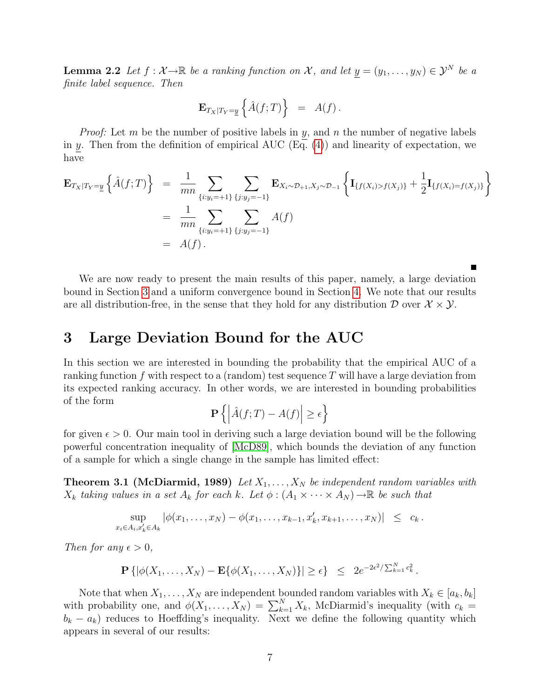**Lemma 2.2** Let  $f : \mathcal{X} \to \mathbb{R}$  be a ranking function on X, and let  $y = (y_1, \ldots, y_N) \in \mathcal{Y}^N$  be a finite label sequence. Then

$$
\mathbf{E}_{T_X|T_Y=\underline{y}}\left\{\hat{A}(f;T)\right\} = A(f).
$$

*Proof:* Let m be the number of positive labels in y, and n the number of negative labels in y. Then from the definition of empirical AUC  $(Eq. (4))$  $(Eq. (4))$  $(Eq. (4))$  and linearity of expectation, we have

<span id="page-6-1"></span>
$$
\mathbf{E}_{T_X|T_Y=\underline{y}}\left\{\hat{A}(f;T)\right\} = \frac{1}{mn}\sum_{\{i:y_i=+1\}}\sum_{\{j:y_j=-1\}}\mathbf{E}_{X_i\sim\mathcal{D}_{+1},X_j\sim\mathcal{D}_{-1}}\left\{\mathbf{I}_{\{f(X_i)>f(X_j)\}}+\frac{1}{2}\mathbf{I}_{\{f(X_i)=f(X_j)\}}\right\}
$$

$$
= \frac{1}{mn}\sum_{\{i:y_i=+1\}}\sum_{\{j:y_j=-1\}}A(f)
$$

$$
= A(f).
$$

We are now ready to present the main results of this paper, namely, a large deviation bound in Section [3](#page-6-0) and a uniform convergence bound in Section [4.](#page-14-0) We note that our results are all distribution-free, in the sense that they hold for any distribution  $\mathcal{D}$  over  $\mathcal{X} \times \mathcal{Y}$ .

### <span id="page-6-0"></span>3 Large Deviation Bound for the AUC

In this section we are interested in bounding the probability that the empirical AUC of a ranking function f with respect to a (random) test sequence T will have a large deviation from its expected ranking accuracy. In other words, we are interested in bounding probabilities of the form

$$
\mathbf{P}\left\{ \left| \hat{A}(f;T) - A(f) \right| \ge \epsilon \right\}
$$

for given  $\epsilon > 0$ . Our main tool in deriving such a large deviation bound will be the following powerful concentration inequality of [\[McD89\]](#page-32-5), which bounds the deviation of any function of a sample for which a single change in the sample has limited effect:

<span id="page-6-2"></span>**Theorem 3.1 (McDiarmid, 1989)** Let  $X_1, \ldots, X_N$  be independent random variables with  $X_k$  taking values in a set  $A_k$  for each k. Let  $\phi: (A_1 \times \cdots \times A_N) \to \mathbb{R}$  be such that

$$
\sup_{i \in A_i, x'_k \in A_k} |\phi(x_1, \ldots, x_N) - \phi(x_1, \ldots, x_{k-1}, x'_k, x_{k+1}, \ldots, x_N)| \leq c_k.
$$

Then for any  $\epsilon > 0$ ,

 $\boldsymbol{x}$ 

$$
\mathbf{P}\left\{|\phi(X_1,\ldots,X_N)-\mathbf{E}\{\phi(X_1,\ldots,X_N)\}|\geq \epsilon\right\} \leq 2e^{-2\epsilon^2/\sum_{k=1}^N c_k^2}.
$$

Note that when  $X_1, \ldots, X_N$  are independent bounded random variables with  $X_k \in [a_k, b_k]$ with probability one, and  $\phi(X_1, \ldots, X_N) = \sum_{k=1}^N X_k$ , McDiarmid's inequality (with  $c_k =$  $b_k - a_k$ ) reduces to Hoeffding's inequality. Next we define the following quantity which appears in several of our results: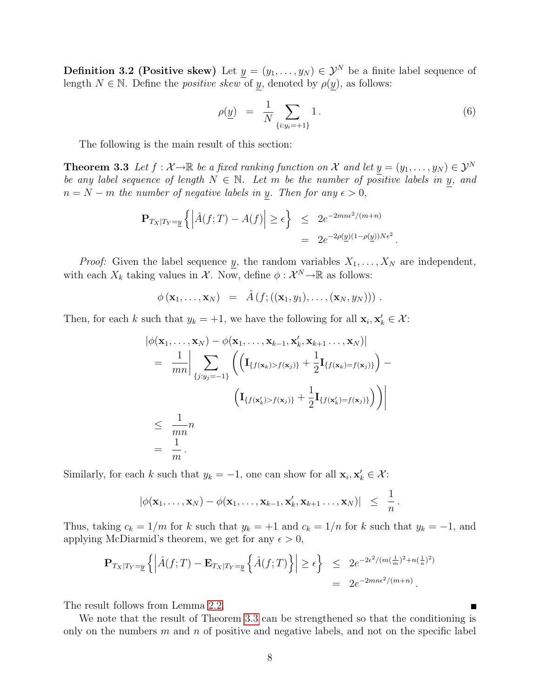**Definition 3.2 (Positive skew)** Let  $y = (y_1, \ldots, y_N) \in \mathcal{Y}^N$  be a finite label sequence of length  $N \in \mathbb{N}$ . Define the *positive skew* of y, denoted by  $\rho(y)$ , as follows:

$$
\rho(\underline{y}) = \frac{1}{N} \sum_{\{i: y_i = +1\}} 1.
$$
\n(6)

The following is the main result of this section:

<span id="page-7-0"></span>**Theorem 3.3** Let  $f : \mathcal{X} \to \mathbb{R}$  be a fixed ranking function on X and let  $y = (y_1, \ldots, y_N) \in \mathcal{Y}^N$ be any label sequence of length  $N \in \mathbb{N}$ . Let m be the number of positive labels in y, and  $n = N - m$  the number of negative labels in y. Then for any  $\epsilon > 0$ ,

$$
\mathbf{P}_{T_X|T_Y=\underline{y}}\left\{ \left| \hat{A}(f;T) - A(f) \right| \ge \epsilon \right\} \le 2e^{-2mn\epsilon^2/(m+n)} = 2e^{-2\rho(\underline{y})(1-\rho(\underline{y}))N\epsilon^2}.
$$

*Proof:* Given the label sequence y, the random variables  $X_1, \ldots, X_N$  are independent, with each  $X_k$  taking values in  $\mathcal X$ . Now, define  $\phi : \mathcal X^N \to \mathbb R$  as follows:

$$
\phi(\mathbf{x}_1,\ldots,\mathbf{x}_N) = \hat{A}(f;((\mathbf{x}_1,y_1),\ldots,(\mathbf{x}_N,y_N)))
$$

Then, for each k such that  $y_k = +1$ , we have the following for all  $\mathbf{x}_i, \mathbf{x}'_k \in \mathcal{X}$ :

$$
\begin{aligned} \left| \phi(\mathbf{x}_1, \dots, \mathbf{x}_N) - \phi(\mathbf{x}_1, \dots, \mathbf{x}_{k-1}, \mathbf{x}'_k, \mathbf{x}_{k+1} \dots, \mathbf{x}_N) \right| \\ &= \left| \frac{1}{mn} \right| \sum_{\{j:y_j=-1\}} \left( \left( \mathbf{I}_{\{f(\mathbf{x}_k) > f(\mathbf{x}_j)\}} + \frac{1}{2} \mathbf{I}_{\{f(\mathbf{x}_k) = f(\mathbf{x}_j)\}} \right) - \\ & \left( \mathbf{I}_{\{f(\mathbf{x}'_k) > f(\mathbf{x}_j)\}} + \frac{1}{2} \mathbf{I}_{\{f(\mathbf{x}'_k) = f(\mathbf{x}_j)\}} \right) \right) \right| \\ &\leq \left| \frac{1}{mn} n \\ &= \left| \frac{1}{m} \right. . \end{aligned}
$$

Similarly, for each k such that  $y_k = -1$ , one can show for all  $\mathbf{x}_i, \mathbf{x}'_k \in \mathcal{X}$ :

$$
|\phi(\mathbf{x}_1,\ldots,\mathbf{x}_N)-\phi(\mathbf{x}_1,\ldots,\mathbf{x}_{k-1},\mathbf{x}'_k,\mathbf{x}_{k+1}\ldots,\mathbf{x}_N)| \leq \frac{1}{n}.
$$

Thus, taking  $c_k = 1/m$  for k such that  $y_k = +1$  and  $c_k = 1/n$  for k such that  $y_k = -1$ , and applying McDiarmid's theorem, we get for any  $\epsilon > 0$ ,

$$
\mathbf{P}_{T_X|T_Y=\underline{y}}\left\{ \left| \hat{A}(f;T) - \mathbf{E}_{T_X|T_Y=\underline{y}}\left\{ \hat{A}(f;T) \right\} \right| \geq \epsilon \right\} \leq 2e^{-2\epsilon^2/(m(\frac{1}{m})^2+n(\frac{1}{n})^2)} = 2e^{-2m\epsilon^2/(m+n)}.
$$

The result follows from Lemma [2.2.](#page-5-2)

We note that the result of Theorem [3.3](#page-7-0) can be strengthened so that the conditioning is only on the numbers  $m$  and  $n$  of positive and negative labels, and not on the specific label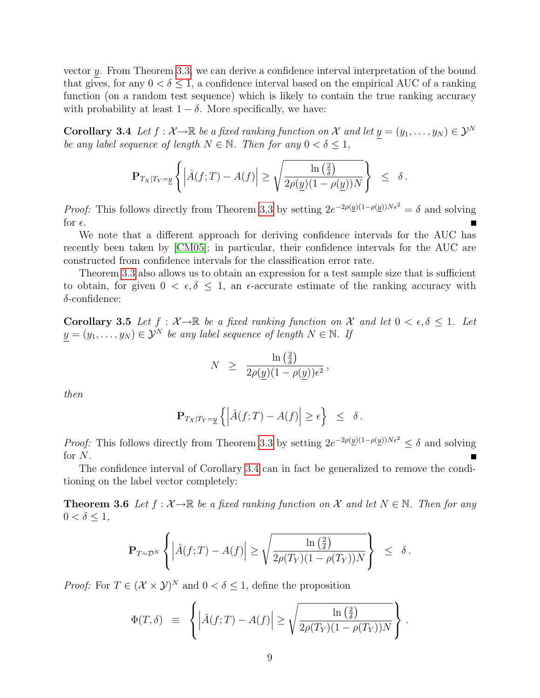vector y. From Theorem [3.3,](#page-7-0) we can derive a confidence interval interpretation of the bound that gives, for any  $0 < \delta \leq 1$ , a confidence interval based on the empirical AUC of a ranking function (on a random test sequence) which is likely to contain the true ranking accuracy with probability at least  $1 - \delta$ . More specifically, we have:

<span id="page-8-0"></span>**Corollary 3.4** Let  $f : \mathcal{X} \to \mathbb{R}$  be a fixed ranking function on X and let  $y = (y_1, \ldots, y_N) \in \mathcal{Y}^N$ be any label sequence of length  $N \in \mathbb{N}$ . Then for any  $0 < \delta \leq 1$ ,

$$
\mathbf{P}_{T_X|T_Y=\underline{y}}\left\{\left|\hat{A}(f;T)-A(f)\right|\geq \sqrt{\frac{\ln\left(\frac{2}{\delta}\right)}{2\rho(\underline{y})(1-\rho(\underline{y}))N}}\right\} \leq \delta.
$$

*Proof:* This follows directly from Theorem [3.3](#page-7-0) by setting  $2e^{-2\rho(\underline{y})(1-\rho(\underline{y}))N\epsilon^2} = \delta$  and solving for  $\epsilon$ .

We note that a different approach for deriving confidence intervals for the AUC has recently been taken by [\[CM05\]](#page-31-2); in particular, their confidence intervals for the AUC are constructed from confidence intervals for the classification error rate.

Theorem [3.3](#page-7-0) also allows us to obtain an expression for a test sample size that is sufficient to obtain, for given  $0 < \epsilon, \delta \leq 1$ , an  $\epsilon$ -accurate estimate of the ranking accuracy with  $\delta$ -confidence:

Corollary 3.5 Let  $f : \mathcal{X} \to \mathbb{R}$  be a fixed ranking function on X and let  $0 < \epsilon, \delta \leq 1$ . Let  $y = (y_1, \ldots, y_N) \in \mathcal{Y}^N$  be any label sequence of length  $N \in \mathbb{N}$ . If

$$
N \geq \frac{\ln\left(\frac{2}{\delta}\right)}{2\rho(\underline{y})(1-\rho(\underline{y}))\epsilon^2},
$$

then

$$
\mathbf{P}_{T_X|T_Y=\underline{y}}\left\{ \left| \hat{A}(f;T) - A(f) \right| \geq \epsilon \right\} \leq \delta.
$$

*Proof:* This follows directly from Theorem [3.3](#page-7-0) by setting  $2e^{-2\rho(y)(1-\rho(y))N\epsilon^2} \le \delta$  and solving for N.

The confidence interval of Corollary [3.4](#page-8-0) can in fact be generalized to remove the conditioning on the label vector completely:

**Theorem 3.6** Let  $f : \mathcal{X} \to \mathbb{R}$  be a fixed ranking function on X and let  $N \in \mathbb{N}$ . Then for any  $0 < \delta \leq 1$ ,

$$
\mathbf{P}_{T \sim \mathcal{D}^N} \left\{ \left| \hat{A}(f;T) - A(f) \right| \ge \sqrt{\frac{\ln\left(\frac{2}{\delta}\right)}{2\rho(T_Y)(1 - \rho(T_Y))N}} \right\} \le \delta.
$$

*Proof:* For  $T \in (\mathcal{X} \times \mathcal{Y})^N$  and  $0 < \delta \leq 1$ , define the proposition

$$
\Phi(T,\delta) \equiv \left\{ \left| \hat{A}(f;T) - A(f) \right| \ge \sqrt{\frac{\ln\left(\frac{2}{\delta}\right)}{2\rho(T_Y)(1-\rho(T_Y))N}} \right\}.
$$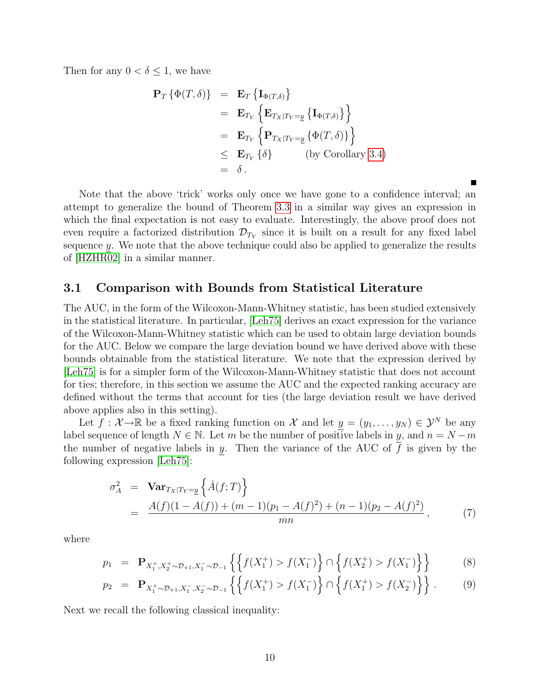Then for any  $0 < \delta \leq 1$ , we have

$$
\begin{aligned}\n\mathbf{P}_T \left\{ \Phi(T, \delta) \right\} &= \mathbf{E}_T \left\{ \mathbf{I}_{\Phi(T, \delta)} \right\} \\
&= \mathbf{E}_{T_Y} \left\{ \mathbf{E}_{T_X | T_Y = \underline{y}} \left\{ \mathbf{I}_{\Phi(T, \delta)} \right\} \right\} \\
&= \mathbf{E}_{T_Y} \left\{ \mathbf{P}_{T_X | T_Y = \underline{y}} \left\{ \Phi(T, \delta) \right\} \right\} \\
&\leq \mathbf{E}_{T_Y} \left\{ \delta \right\} \qquad \text{(by Corollary 3.4)} \\
&= \delta \, .\n\end{aligned}
$$

Note that the above 'trick' works only once we have gone to a confidence interval; an attempt to generalize the bound of Theorem [3.3](#page-7-0) in a similar way gives an expression in which the final expectation is not easy to evaluate. Interestingly, the above proof does not even require a factorized distribution  $\mathcal{D}_{T_Y}$  since it is built on a result for any fixed label sequence y. We note that the above technique could also be applied to generalize the results of [\[HZHR02\]](#page-32-4) in a similar manner.

#### <span id="page-9-1"></span>3.1 Comparison with Bounds from Statistical Literature

The AUC, in the form of the Wilcoxon-Mann-Whitney statistic, has been studied extensively in the statistical literature. In particular, [\[Leh75\]](#page-32-6) derives an exact expression for the variance of the Wilcoxon-Mann-Whitney statistic which can be used to obtain large deviation bounds for the AUC. Below we compare the large deviation bound we have derived above with these bounds obtainable from the statistical literature. We note that the expression derived by [\[Leh75\]](#page-32-6) is for a simpler form of the Wilcoxon-Mann-Whitney statistic that does not account for ties; therefore, in this section we assume the AUC and the expected ranking accuracy are defined without the terms that account for ties (the large deviation result we have derived above applies also in this setting).

Let  $f: \mathcal{X} \to \mathbb{R}$  be a fixed ranking function on  $\mathcal{X}$  and let  $\underline{y} = (y_1, \dots, y_N) \in \mathcal{Y}^N$  be any label sequence of length  $N \in \mathbb{N}$ . Let m be the number of positive labels in y, and  $n = N - m$ the number of negative labels in  $y$ . Then the variance of the AUC of  $f$  is given by the following expression [\[Leh75\]](#page-32-6):

<span id="page-9-0"></span>
$$
\sigma_A^2 = \text{Var}_{Tx|T_Y = y} \left\{ \hat{A}(f;T) \right\}
$$
  
= 
$$
\frac{A(f)(1 - A(f)) + (m-1)(p_1 - A(f)^2) + (n-1)(p_2 - A(f)^2)}{mn},
$$
 (7)

where

$$
p_1 = \mathbf{P}_{X_1^+, X_2^+ \sim \mathcal{D}_{+1}, X_1^- \sim \mathcal{D}_{-1}} \left\{ \left\{ f(X_1^+) > f(X_1^-) \right\} \cap \left\{ f(X_2^+) > f(X_1^-) \right\} \right\} \tag{8}
$$

$$
p_2 = \mathbf{P}_{X_1^+ \sim \mathcal{D}_{+1}, X_1^-, X_2^- \sim \mathcal{D}_{-1}} \left\{ \left\{ f(X_1^+) > f(X_1^-) \right\} \cap \left\{ f(X_1^+) > f(X_2^-) \right\} \right\}.
$$
 (9)

Next we recall the following classical inequality: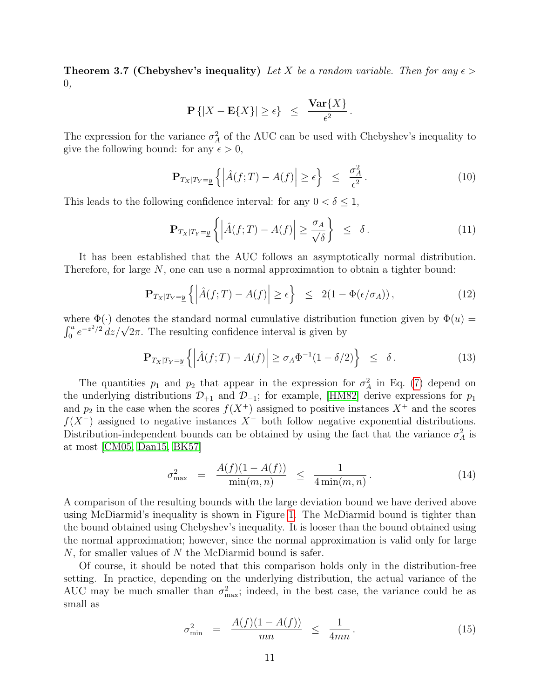**Theorem 3.7 (Chebyshev's inequality)** Let X be a random variable. Then for any  $\epsilon$ 0,

$$
\mathbf{P}\left\{|X-\mathbf{E}\{X\}|\geq\epsilon\right\} \ \leq \ \frac{\mathbf{Var}\{X\}}{\epsilon^2}.
$$

The expression for the variance  $\sigma_A^2$  of the AUC can be used with Chebyshev's inequality to give the following bound: for any  $\epsilon > 0$ ,

$$
\mathbf{P}_{T_X|T_Y=\underline{y}}\left\{ \left| \hat{A}(f;T) - A(f) \right| \ge \epsilon \right\} \le \frac{\sigma_A^2}{\epsilon^2}.
$$
\n(10)

This leads to the following confidence interval: for any  $0 < \delta \leq 1$ ,

<span id="page-10-0"></span>
$$
\mathbf{P}_{T_X|T_Y=\underline{y}}\left\{ \left| \hat{A}(f;T) - A(f) \right| \ge \frac{\sigma_A}{\sqrt{\delta}} \right\} \le \delta. \tag{11}
$$

It has been established that the AUC follows an asymptotically normal distribution. Therefore, for large N, one can use a normal approximation to obtain a tighter bound:

$$
\mathbf{P}_{T_X|T_Y=\underline{y}}\left\{ \left| \hat{A}(f;T) - A(f) \right| \ge \epsilon \right\} \le 2(1 - \Phi(\epsilon/\sigma_A)), \tag{12}
$$

where  $\Phi(\cdot)$  denotes the standard normal cumulative distribution function given by  $\Phi(u)$  = where  $\mathcal{Q}(\cdot)$  denotes the standard normal cumulative distribution  $\int_0^u e^{-z^2/2} dz/\sqrt{2\pi}$ . The resulting confidence interval is given by

<span id="page-10-1"></span>
$$
\mathbf{P}_{T_X|T_Y=\underline{y}}\left\{ \left| \hat{A}(f;T) - A(f) \right| \ge \sigma_A \Phi^{-1}(1-\delta/2) \right\} \le \delta. \tag{13}
$$

The quantities  $p_1$  and  $p_2$  that appear in the expression for  $\sigma_A^2$  in Eq. [\(7\)](#page-9-0) depend on the underlying distributions  $\mathcal{D}_{+1}$  and  $\mathcal{D}_{-1}$ ; for example, [\[HM82\]](#page-32-7) derive expressions for  $p_1$ and  $p_2$  in the case when the scores  $f(X^+)$  assigned to positive instances  $X^+$  and the scores  $f(X^-)$  assigned to negative instances  $X^-$  both follow negative exponential distributions. Distribution-independent bounds can be obtained by using the fact that the variance  $\sigma_A^2$  is at most [\[CM05,](#page-31-2) [Dan15,](#page-32-8) [BK57\]](#page-31-3)

<span id="page-10-2"></span>
$$
\sigma_{\max}^2 = \frac{A(f)(1 - A(f))}{\min(m, n)} \le \frac{1}{4\min(m, n)}.
$$
\n(14)

A comparison of the resulting bounds with the large deviation bound we have derived above using McDiarmid's inequality is shown in Figure [1.](#page-11-0) The McDiarmid bound is tighter than the bound obtained using Chebyshev's inequality. It is looser than the bound obtained using the normal approximation; however, since the normal approximation is valid only for large  $N$ , for smaller values of  $N$  the McDiarmid bound is safer.

Of course, it should be noted that this comparison holds only in the distribution-free setting. In practice, depending on the underlying distribution, the actual variance of the AUC may be much smaller than  $\sigma_{\text{max}}^2$ ; indeed, in the best case, the variance could be as small as

<span id="page-10-3"></span>
$$
\sigma_{\min}^2 = \frac{A(f)(1 - A(f))}{mn} \le \frac{1}{4mn}.
$$
\n(15)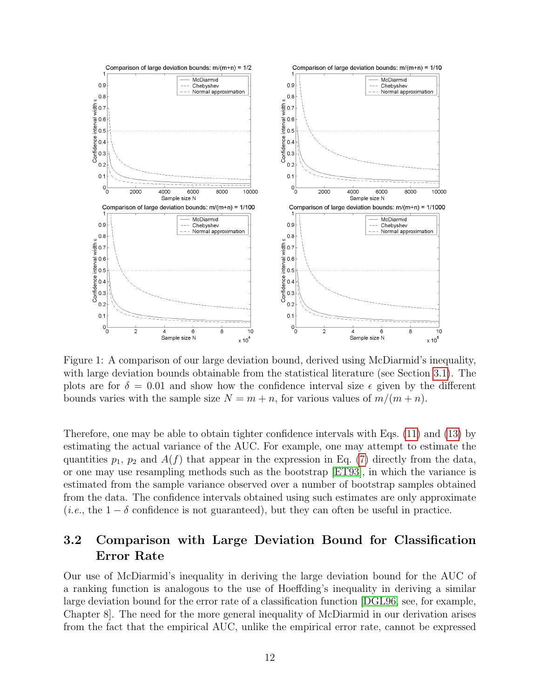

<span id="page-11-0"></span>Figure 1: A comparison of our large deviation bound, derived using McDiarmid's inequality, with large deviation bounds obtainable from the statistical literature (see Section [3.1\)](#page-9-1). The plots are for  $\delta = 0.01$  and show how the confidence interval size  $\epsilon$  given by the different bounds varies with the sample size  $N = m + n$ , for various values of  $m/(m + n)$ .

Therefore, one may be able to obtain tighter confidence intervals with Eqs. [\(11\)](#page-10-0) and [\(13\)](#page-10-1) by estimating the actual variance of the AUC. For example, one may attempt to estimate the quantities  $p_1$ ,  $p_2$  and  $A(f)$  that appear in the expression in Eq. [\(7\)](#page-9-0) directly from the data, or one may use resampling methods such as the bootstrap [\[ET93\]](#page-32-9), in which the variance is estimated from the sample variance observed over a number of bootstrap samples obtained from the data. The confidence intervals obtained using such estimates are only approximate (*i.e.*, the  $1 - \delta$  confidence is not guaranteed), but they can often be useful in practice.

### 3.2 Comparison with Large Deviation Bound for Classification Error Rate

Our use of McDiarmid's inequality in deriving the large deviation bound for the AUC of a ranking function is analogous to the use of Hoeffding's inequality in deriving a similar large deviation bound for the error rate of a classification function [\[DGL96,](#page-32-10) see, for example, Chapter 8]. The need for the more general inequality of McDiarmid in our derivation arises from the fact that the empirical AUC, unlike the empirical error rate, cannot be expressed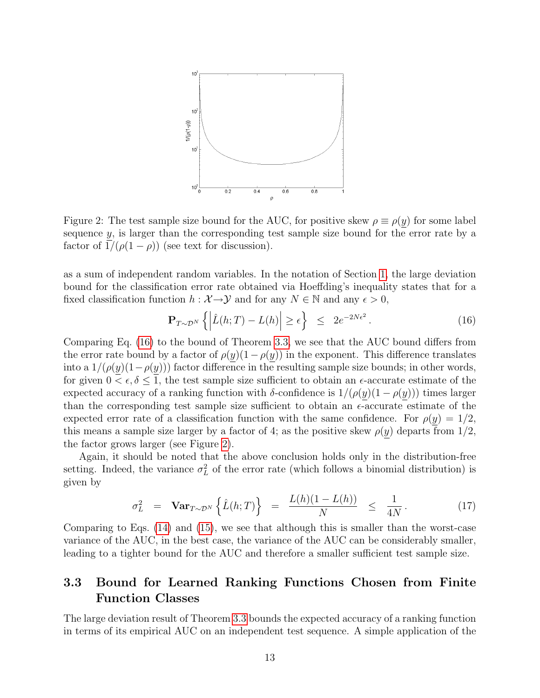

<span id="page-12-1"></span>Figure 2: The test sample size bound for the AUC, for positive skew  $\rho \equiv \rho(y)$  for some label sequence y, is larger than the corresponding test sample size bound for the error rate by a factor of  $1/(\rho(1-\rho))$  (see text for discussion).

as a sum of independent random variables. In the notation of Section [1,](#page-1-2) the large deviation bound for the classification error rate obtained via Hoeffding's inequality states that for a fixed classification function  $h : \mathcal{X} \to \mathcal{Y}$  and for any  $N \in \mathbb{N}$  and any  $\epsilon > 0$ ,

<span id="page-12-0"></span>
$$
\mathbf{P}_{T \sim \mathcal{D}^N} \left\{ \left| \hat{L}(h;T) - L(h) \right| \ge \epsilon \right\} \le 2e^{-2N\epsilon^2}.
$$
 (16)

Comparing Eq. [\(16\)](#page-12-0) to the bound of Theorem [3.3,](#page-7-0) we see that the AUC bound differs from the error rate bound by a factor of  $\rho(y)(1-\rho(y))$  in the exponent. This difference translates into a  $1/(\rho(y)(1-\rho(y)))$  factor difference in the resulting sample size bounds; in other words, for given  $0 < \epsilon, \delta \leq 1$ , the test sample size sufficient to obtain an  $\epsilon$ -accurate estimate of the expected accuracy of a ranking function with  $\delta$ -confidence is  $1/(\rho(y)(1-\rho(y)))$  times larger than the corresponding test sample size sufficient to obtain an  $\epsilon$ -accurate estimate of the expected error rate of a classification function with the same confidence. For  $\rho(y) = 1/2$ , this means a sample size larger by a factor of 4; as the positive skew  $\rho(y)$  departs from  $1/2$ , the factor grows larger (see Figure [2\)](#page-12-1).

Again, it should be noted that the above conclusion holds only in the distribution-free setting. Indeed, the variance  $\sigma_L^2$  of the error rate (which follows a binomial distribution) is given by

$$
\sigma_L^2 = \textbf{Var}_{T \sim \mathcal{D}^N} \left\{ \hat{L}(h;T) \right\} = \frac{L(h)(1-L(h))}{N} \le \frac{1}{4N}.
$$
 (17)

Comparing to Eqs. [\(14\)](#page-10-2) and [\(15\)](#page-10-3), we see that although this is smaller than the worst-case variance of the AUC, in the best case, the variance of the AUC can be considerably smaller, leading to a tighter bound for the AUC and therefore a smaller sufficient test sample size.

### 3.3 Bound for Learned Ranking Functions Chosen from Finite Function Classes

The large deviation result of Theorem [3.3](#page-7-0) bounds the expected accuracy of a ranking function in terms of its empirical AUC on an independent test sequence. A simple application of the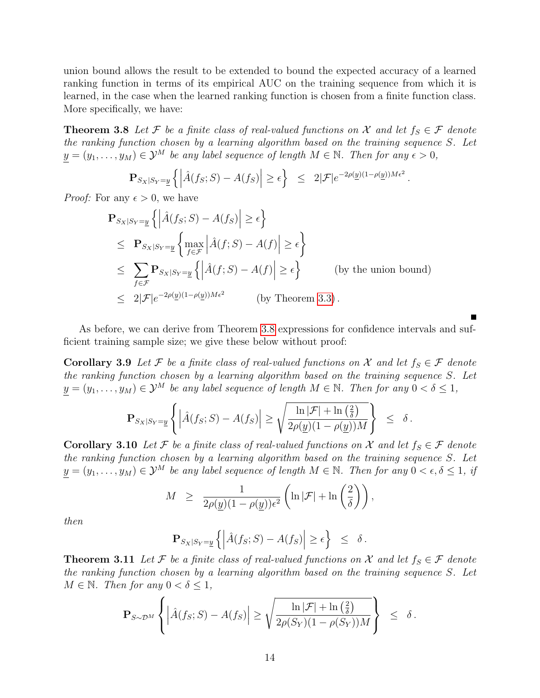union bound allows the result to be extended to bound the expected accuracy of a learned ranking function in terms of its empirical AUC on the training sequence from which it is learned, in the case when the learned ranking function is chosen from a finite function class. More specifically, we have:

<span id="page-13-0"></span>**Theorem 3.8** Let F be a finite class of real-valued functions on X and let  $f_S \in \mathcal{F}$  denote the ranking function chosen by a learning algorithm based on the training sequence S. Let  $y = (y_1, \ldots, y_M) \in \mathcal{Y}^M$  be any label sequence of length  $M \in \mathbb{N}$ . Then for any  $\epsilon > 0$ ,

$$
\mathbf{P}_{S_X|S_Y=\underline{y}}\left\{ \left| \hat{A}(f_S;S) - A(f_S) \right| \ge \epsilon \right\} \le 2|\mathcal{F}|e^{-2\rho(\underline{y})(1-\rho(\underline{y}))M\epsilon^2}
$$

.

*Proof:* For any  $\epsilon > 0$ , we have

$$
\begin{aligned}\n\mathbf{P}_{S_X|S_Y=\underline{y}}\left\{ \left| \hat{A}(f_S;S) - A(f_S) \right| \ge \epsilon \right\} \\
&\le \mathbf{P}_{S_X|S_Y=\underline{y}}\left\{ \max_{f \in \mathcal{F}} \left| \hat{A}(f;S) - A(f) \right| \ge \epsilon \right\} \\
&\le \sum_{f \in \mathcal{F}} \mathbf{P}_{S_X|S_Y=\underline{y}}\left\{ \left| \hat{A}(f;S) - A(f) \right| \ge \epsilon \right\} \qquad \text{(by the union bound)} \\
&\le 2|\mathcal{F}|e^{-2\rho(\underline{y})(1-\rho(\underline{y}))M\epsilon^2} \qquad \text{(by Theorem 3.3)}\n\end{aligned}
$$

As before, we can derive from Theorem [3.8](#page-13-0) expressions for confidence intervals and sufficient training sample size; we give these below without proof:

Corollary 3.9 Let F be a finite class of real-valued functions on X and let  $f_S \in \mathcal{F}$  denote the ranking function chosen by a learning algorithm based on the training sequence S. Let  $y = (y_1, \ldots, y_M) \in \mathcal{Y}^M$  be any label sequence of length  $M \in \mathbb{N}$ . Then for any  $0 < \delta \leq 1$ ,

$$
\mathbf{P}_{S_X|S_Y=\underline{y}}\left\{\left|\hat{A}(f_S;S)-A(f_S)\right|\geq \sqrt{\frac{\ln |\mathcal{F}|+\ln\left(\frac{2}{\delta}\right)}{2\rho(\underline{y})(1-\rho(\underline{y}))M}}\right\} \leq \delta.
$$

Corollary 3.10 Let F be a finite class of real-valued functions on X and let  $f_S \in \mathcal{F}$  denote the ranking function chosen by a learning algorithm based on the training sequence S. Let  $y = (y_1, \ldots, y_M) \in \mathcal{Y}^M$  be any label sequence of length  $M \in \mathbb{N}$ . Then for any  $0 < \epsilon, \delta \leq 1$ , if

$$
M \ge \frac{1}{2\rho(\underline{y})(1-\rho(\underline{y}))\epsilon^2} \left( \ln |\mathcal{F}| + \ln \left( \frac{2}{\delta} \right) \right),
$$

then

$$
\mathbf{P}_{S_X|S_Y=\underline{y}}\left\{ \left| \hat{A}(f_S;S) - A(f_S) \right| \geq \epsilon \right\} \leq \delta.
$$

**Theorem 3.11** Let F be a finite class of real-valued functions on X and let  $f_S \in \mathcal{F}$  denote the ranking function chosen by a learning algorithm based on the training sequence S. Let  $M \in \mathbb{N}$ . Then for any  $0 < \delta \leq 1$ ,

$$
\mathbf{P}_{S\sim\mathcal{D}^M}\left\{\left|\hat{A}(f_S;S)-A(f_S)\right|\geq \sqrt{\frac{\ln|\mathcal{F}|+\ln\left(\frac{2}{\delta}\right)}{2\rho(S_Y)(1-\rho(S_Y))M}}\right\}\ \leq\ \delta\,.
$$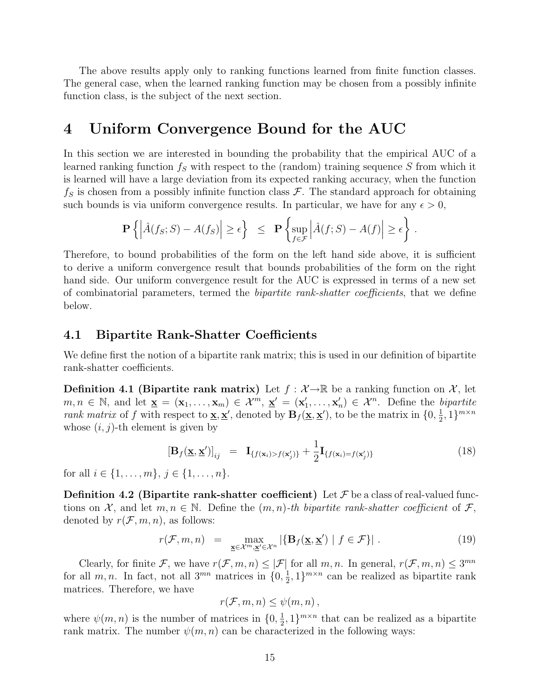The above results apply only to ranking functions learned from finite function classes. The general case, when the learned ranking function may be chosen from a possibly infinite function class, is the subject of the next section.

### <span id="page-14-0"></span>4 Uniform Convergence Bound for the AUC

In this section we are interested in bounding the probability that the empirical AUC of a learned ranking function  $f_S$  with respect to the (random) training sequence S from which it is learned will have a large deviation from its expected ranking accuracy, when the function  $f_S$  is chosen from a possibly infinite function class  $\mathcal F$ . The standard approach for obtaining such bounds is via uniform convergence results. In particular, we have for any  $\epsilon > 0$ ,

$$
\mathbf{P}\left\{ \left| \hat{A}(f_S;S) - A(f_S) \right| \ge \epsilon \right\} \le \mathbf{P}\left\{ \sup_{f \in \mathcal{F}} \left| \hat{A}(f;S) - A(f) \right| \ge \epsilon \right\}.
$$

Therefore, to bound probabilities of the form on the left hand side above, it is sufficient to derive a uniform convergence result that bounds probabilities of the form on the right hand side. Our uniform convergence result for the AUC is expressed in terms of a new set of combinatorial parameters, termed the bipartite rank-shatter coefficients, that we define below.

#### <span id="page-14-1"></span>4.1 Bipartite Rank-Shatter Coefficients

We define first the notion of a bipartite rank matrix; this is used in our definition of bipartite rank-shatter coefficients.

<span id="page-14-3"></span>**Definition 4.1 (Bipartite rank matrix)** Let  $f : \mathcal{X} \rightarrow \mathbb{R}$  be a ranking function on  $\mathcal{X}$ , let  $m, n \in \mathbb{N}$ , and let  $\underline{\mathbf{x}} = (\mathbf{x}_1, \dots, \mathbf{x}_m) \in \mathcal{X}^m$ ,  $\underline{\mathbf{x}}' = (\mathbf{x}'_1, \dots, \mathbf{x}'_n) \in \mathcal{X}^n$ . Define the bipartite rank matrix of f with respect to  $\underline{\mathbf{x}}, \underline{\mathbf{x}}'$ , denoted by  $\mathbf{B}_f(\underline{\mathbf{x}}, \underline{\mathbf{x}}')$ , to be the matrix in  $\{0, \frac{1}{2}\}$  $\frac{1}{2}, 1\}^{m \times n}$ whose  $(i, j)$ -th element is given by

$$
\left[\mathbf{B}_{f}(\underline{\mathbf{x}},\underline{\mathbf{x}}')\right]_{ij} = \mathbf{I}_{\{f(\mathbf{x}_{i}) > f(\mathbf{x}'_{j})\}} + \frac{1}{2}\mathbf{I}_{\{f(\mathbf{x}_{i}) = f(\mathbf{x}'_{j})\}}\tag{18}
$$

for all  $i \in \{1, \ldots, m\}, \, j \in \{1, \ldots, n\}.$ 

<span id="page-14-4"></span>**Definition 4.2 (Bipartite rank-shatter coefficient)** Let  $\mathcal F$  be a class of real-valued functions on X, and let  $m, n \in \mathbb{N}$ . Define the  $(m, n)$ -th bipartite rank-shatter coefficient of F, denoted by  $r(\mathcal{F}, m, n)$ , as follows:

$$
r(\mathcal{F}, m, n) = \max_{\mathbf{\underline{x}} \in \mathcal{X}^m, \mathbf{\underline{x}}' \in \mathcal{X}^n} |\{\mathbf{B}_f(\mathbf{\underline{x}}, \mathbf{\underline{x}}') \mid f \in \mathcal{F}\}|.
$$
 (19)

Clearly, for finite F, we have  $r(\mathcal{F}, m, n) \leq |\mathcal{F}|$  for all  $m, n$ . In general,  $r(\mathcal{F}, m, n) \leq 3^{mn}$ for all  $m, n$ . In fact, not all  $3^{mn}$  matrices in  $\{0, \frac{1}{2}\}$  $(\frac{1}{2}, 1)^{m \times n}$  can be realized as bipartite rank matrices. Therefore, we have

$$
r(\mathcal{F},m,n)\leq\psi(m,n),
$$

<span id="page-14-2"></span>where  $\psi(m, n)$  is the number of matrices in  $\{0, \frac{1}{2}\}$  $\frac{1}{2}$ , 1}<sup>*m*×*n*</sup> that can be realized as a bipartite rank matrix. The number  $\psi(m, n)$  can be characterized in the following ways: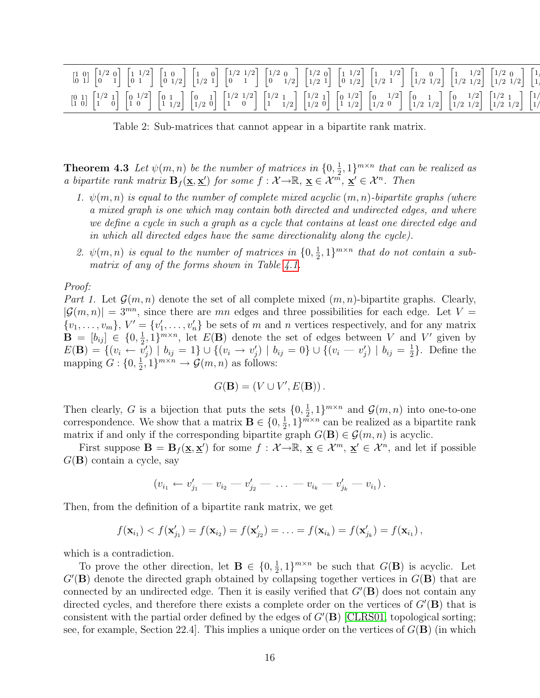| $\begin{bmatrix} 1 & 0 \\ 0 & 1 \end{bmatrix} \, \begin{bmatrix} 1/2 & 0 \\ 0 & 1 \end{bmatrix} \, \begin{bmatrix} 1 & 1/2 \\ 0 & 1 \end{bmatrix} \, \begin{bmatrix} 1 & 0 \\ 0 & 1/2 \end{bmatrix} \, \begin{bmatrix} 1/2 & 1/2 \\ 1/2 & 1 \end{bmatrix} \, \begin{bmatrix} 1/2 & 0 \\ 0 & 1/2 \end{bmatrix} \, \begin{bmatrix} 1/2 & 0 \\ 1/2 & 1 \end{bmatrix} \, \begin{bmatrix} 1 & 1/2 \\ 0 & 1/2 \end{b$       |  |  |
|-----------------------------------------------------------------------------------------------------------------------------------------------------------------------------------------------------------------------------------------------------------------------------------------------------------------------------------------------------------------------------------------------------------------------|--|--|
| $\begin{bmatrix} 0 & 1 \\ 1 & 0 \end{bmatrix} \, \begin{bmatrix} 1/2 & 1 \\ 1 & 0 \end{bmatrix} \, \begin{bmatrix} 0 & 1/2 \\ 1 & 0 \end{bmatrix} \, \begin{bmatrix} 0 & 1 \\ 1 & 1/2 \end{bmatrix} \, \begin{bmatrix} 0 & 1 \\ 1/2 & 0 \end{bmatrix} \, \begin{bmatrix} 1/2 & 1/2 \\ 1 & 0 \end{bmatrix} \, \begin{bmatrix} 1/2 & 1 \\ 1 & 1/2 \end{bmatrix} \, \begin{bmatrix} 1/2 & 1 \\ 1/2 & 0 \end{bmatrix} \,$ |  |  |

<span id="page-15-0"></span>Table 2: Sub-matrices that cannot appear in a bipartite rank matrix.

**Theorem 4.3** Let  $\psi(m,n)$  be the number of matrices in  $\{0, \frac{1}{2}\}$  $\frac{1}{2}$ , 1}<sup>*m*×*n*</sup> that can be realized as a bipartite rank matrix  $\mathbf{B}_f(\mathbf{x}, \mathbf{x}')$  for some  $f : \mathcal{X} \to \mathbb{R}, \mathbf{x} \in \mathcal{X}^m, \mathbf{x}' \in \mathcal{X}^n$ . Then

- 1.  $\psi(m,n)$  is equal to the number of complete mixed acyclic  $(m,n)$ -bipartite graphs (where a mixed graph is one which may contain both directed and undirected edges, and where we define a cycle in such a graph as a cycle that contains at least one directed edge and in which all directed edges have the same directionality along the cycle).
- 2.  $\psi(m,n)$  is equal to the number of matrices in  $\{0,\frac{1}{2}\}$  $\frac{1}{2}$ , 1}<sup>*m*×*n*</sup> that do not contain a sub-matrix of any of the forms shown in Table [4.1.](#page-15-0)

Proof:

Part 1. Let  $\mathcal{G}(m,n)$  denote the set of all complete mixed  $(m,n)$ -bipartite graphs. Clearly,  $|\mathcal{G}(m, n)| = 3^{mn}$ , since there are mn edges and three possibilities for each edge. Let V =  $\{v_1, \ldots, v_m\}, V' = \{v'_1, \ldots, v'_n\}$  be sets of m and n vertices respectively, and for any matrix  $\mathbf{B} = [b_{ij}] \in \{0, \frac{1}{2}$  $\frac{1}{2}$ , 1}<sup>*m*×*n*</sup>, let  $E(\mathbf{B})$  denote the set of edges between V and V' given by  $E({\bf B})=\{(v_i\leftarrow \tilde{v}'_j) \,\,|\,\, b_{ij}=1\}\cup \{(v_i\rightarrow v'_j) \,\,|\,\, b_{ij}=0\}\cup \{(v_i\rightarrow v'_j) \,\,|\,\, b_{ij}=\frac{1}{2}$  $\frac{1}{2}$ . Define the mapping  $G: \{0, \frac{1}{2}\}$  $\frac{1}{2}, 1\}^{m \times n} \rightarrow \mathcal{G}(m, n)$  as follows:

$$
G(\mathbf{B}) = (V \cup V', E(\mathbf{B})).
$$

Then clearly, G is a bijection that puts the sets  $\{0, \frac{1}{2}\}$  $\frac{1}{2}$ , 1}<sup>*m*×*n*</sup> and  $\mathcal{G}(m, n)$  into one-to-one correspondence. We show that a matrix  $\mathbf{B} \in \{0, \frac{1}{2}\}$  $(\frac{1}{2}, 1)^{m \times n}$  can be realized as a bipartite rank matrix if and only if the corresponding bipartite graph  $G(\mathbf{B}) \in \mathcal{G}(m, n)$  is acyclic.

First suppose  $\mathbf{B} = \mathbf{B}_f(\underline{\mathbf{x}}, \underline{\mathbf{x}}')$  for some  $f : \mathcal{X} \to \mathbb{R}, \underline{\mathbf{x}} \in \mathcal{X}^m, \underline{\mathbf{x}}' \in \mathcal{X}^n$ , and let if possible  $G(\mathbf{B})$  contain a cycle, say

$$
(v_{i_1} \leftarrow v'_{j_1} - v_{i_2} - v'_{j_2} - \ldots - v_{i_k} - v'_{j_k} - v_{i_1}).
$$

Then, from the definition of a bipartite rank matrix, we get

$$
f(\mathbf{x}_{i_1}) < f(\mathbf{x}'_{j_1}) = f(\mathbf{x}_{i_2}) = f(\mathbf{x}'_{j_2}) = \ldots = f(\mathbf{x}_{i_k}) = f(\mathbf{x}'_{j_k}) = f(\mathbf{x}_{i_1}),
$$

which is a contradiction.

To prove the other direction, let  $\mathbf{B} \in \{0, \frac{1}{2}\}$  $\frac{1}{2}$ , 1}<sup>*m*×*n*</sup> be such that  $G(\mathbf{B})$  is acyclic. Let  $G'(\mathbf{B})$  denote the directed graph obtained by collapsing together vertices in  $G(\mathbf{B})$  that are connected by an undirected edge. Then it is easily verified that  $G'(\mathbf{B})$  does not contain any directed cycles, and therefore there exists a complete order on the vertices of  $G'(\mathbf{B})$  that is consistent with the partial order defined by the edges of  $G'(\mathbf{B})$  [\[CLRS01,](#page-31-4) topological sorting; see, for example, Section 22.4. This implies a unique order on the vertices of  $G(\mathbf{B})$  (in which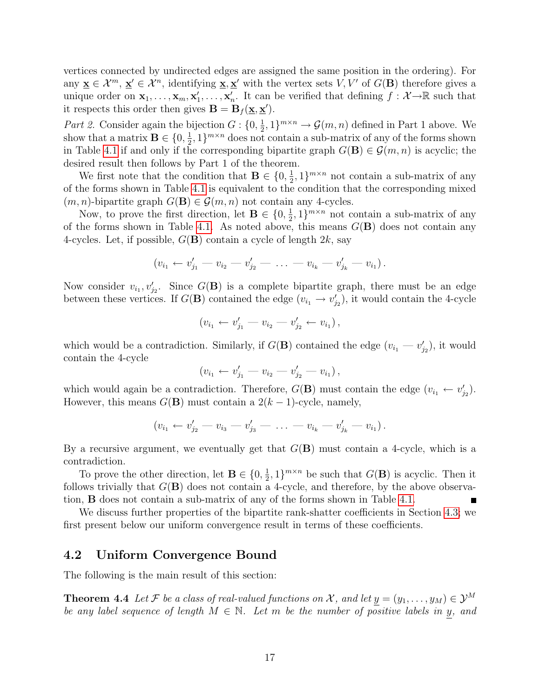vertices connected by undirected edges are assigned the same position in the ordering). For any  $\underline{\mathbf{x}} \in \mathcal{X}^m$ ,  $\underline{\mathbf{x}}' \in \mathcal{X}^n$ , identifying  $\underline{\mathbf{x}}, \underline{\mathbf{x}}'$  with the vertex sets  $V, V'$  of  $G(\mathbf{B})$  therefore gives a unique order on  $\mathbf{x}_1,\ldots,\mathbf{x}_m,\mathbf{x}'_1,\ldots,\mathbf{x}'_n$ . It can be verified that defining  $f: \mathcal{X} \rightarrow \mathbb{R}$  such that it respects this order then gives  $\mathbf{B} = \mathbf{B}_f(\mathbf{x}, \mathbf{x}')$ .

Part 2. Consider again the bijection  $G: \{0, \frac{1}{2}\}$  $\frac{1}{2}$ , 1}<sup>*m*×*n*</sup> →  $\mathcal{G}(m, n)$  defined in Part 1 above. We show that a matrix  $\mathbf{B} \in \{0, \frac{1}{2}\}$  $\frac{1}{2}$ , 1}<sup>*m*×*n*</sup> does not contain a sub-matrix of any of the forms shown in Table [4.1](#page-15-0) if and only if the corresponding bipartite graph  $G(\mathbf{B}) \in \mathcal{G}(m,n)$  is acyclic; the desired result then follows by Part 1 of the theorem.

We first note that the condition that  $\mathbf{B} \in \{0, \frac{1}{2}\}$  $(\frac{1}{2}, 1)^{m \times n}$  not contain a sub-matrix of any of the forms shown in Table [4.1](#page-15-0) is equivalent to the condition that the corresponding mixed  $(m, n)$ -bipartite graph  $G(\mathbf{B}) \in \mathcal{G}(m, n)$  not contain any 4-cycles.

Now, to prove the first direction, let  $\mathbf{B} \in \{0, \frac{1}{2}\}$  $(\frac{1}{2}, 1)^{m \times n}$  not contain a sub-matrix of any of the forms shown in Table [4.1.](#page-15-0) As noted above, this means  $G(\mathbf{B})$  does not contain any 4-cycles. Let, if possible,  $G(\mathbf{B})$  contain a cycle of length  $2k$ , say

$$
(v_{i_1} \leftarrow v'_{j_1} - v_{i_2} - v'_{j_2} - \ldots - v_{i_k} - v'_{j_k} - v_{i_1}).
$$

Now consider  $v_{i_1}, v'_{j_2}$ . Since  $G(\mathbf{B})$  is a complete bipartite graph, there must be an edge between these vertices. If  $G(\mathbf{B})$  contained the edge  $(v_{i_1} \to v'_{j_2})$ , it would contain the 4-cycle

$$
(v_{i_1} \leftarrow v'_{j_1} - v_{i_2} - v'_{j_2} \leftarrow v_{i_1}),
$$

which would be a contradiction. Similarly, if  $G(\mathbf{B})$  contained the edge  $(v_{i_1} - v'_{j_2})$ , it would contain the 4-cycle

$$
(v_{i_1} \leftarrow v'_{j_1} - v_{i_2} - v'_{j_2} - v_{i_1}),
$$

which would again be a contradiction. Therefore,  $G(\mathbf{B})$  must contain the edge  $(v_{i_1} \leftarrow v'_{j_2})$ . However, this means  $G(\mathbf{B})$  must contain a  $2(k-1)$ -cycle, namely,

$$
(v_{i_1} \leftarrow v'_{j_2} - v_{i_3} - v'_{j_3} - \ldots - v_{i_k} - v'_{j_k} - v_{i_1}).
$$

By a recursive argument, we eventually get that  $G(\mathbf{B})$  must contain a 4-cycle, which is a contradiction.

To prove the other direction, let  $\mathbf{B} \in \{0, \frac{1}{2}\}$  $\frac{1}{2}$ , 1}<sup>*m*×*n*</sup> be such that  $G(\mathbf{B})$  is acyclic. Then it follows trivially that  $G(\mathbf{B})$  does not contain a 4-cycle, and therefore, by the above observation, B does not contain a sub-matrix of any of the forms shown in Table [4.1.](#page-15-0)

We discuss further properties of the bipartite rank-shatter coefficients in Section [4.3;](#page-17-0) we first present below our uniform convergence result in terms of these coefficients.

#### <span id="page-16-1"></span>4.2 Uniform Convergence Bound

<span id="page-16-0"></span>The following is the main result of this section:

**Theorem 4.4** Let F be a class of real-valued functions on X, and let  $y = (y_1, \ldots, y_M) \in \mathcal{Y}^M$ be any label sequence of length  $M \in \mathbb{N}$ . Let m be the number of positive labels in y, and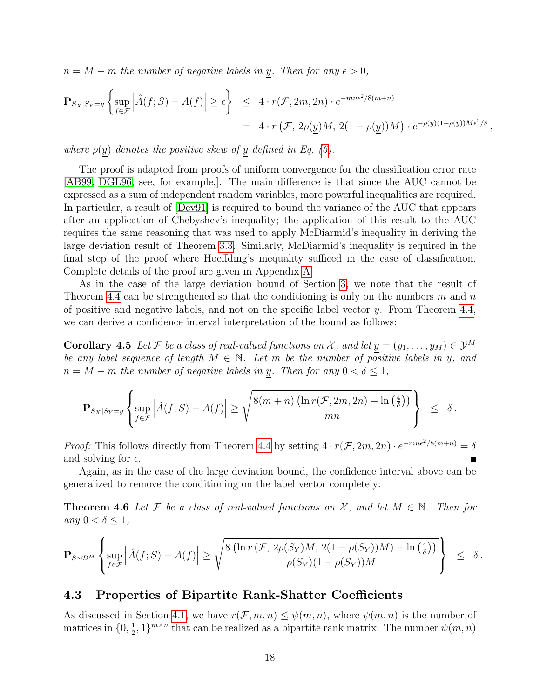$n = M - m$  the number of negative labels in y. Then for any  $\epsilon > 0$ ,

$$
\mathbf{P}_{S_X|S_Y=\underline{y}}\left\{\sup_{f\in\mathcal{F}}\left|\hat{A}(f;S)-A(f)\right|\geq\epsilon\right\}\quad\leq\quad 4\cdot r(\mathcal{F},2m,2n)\cdot e^{-mn\epsilon^2/8(m+n)}=\quad 4\cdot r(\mathcal{F},2\rho(\underline{y})M,2(1-\rho(\underline{y}))M)\cdot e^{-\rho(\underline{y})(1-\rho(\underline{y}))M\epsilon^2/8},
$$

where  $\rho(y)$  denotes the positive skew of y defined in Eq. [\(6\)](#page-6-1).

The proof is adapted from proofs of uniform convergence for the classification error rate [\[AB99,](#page-31-5) [DGL96,](#page-32-10) see, for example,]. The main difference is that since the AUC cannot be expressed as a sum of independent random variables, more powerful inequalities are required. In particular, a result of [\[Dev91\]](#page-32-11) is required to bound the variance of the AUC that appears after an application of Chebyshev's inequality; the application of this result to the AUC requires the same reasoning that was used to apply McDiarmid's inequality in deriving the large deviation result of Theorem [3.3.](#page-7-0) Similarly, McDiarmid's inequality is required in the final step of the proof where Hoeffding's inequality sufficed in the case of classification. Complete details of the proof are given in Appendix [A.](#page-25-0)

As in the case of the large deviation bound of Section [3,](#page-6-0) we note that the result of Theorem [4.4](#page-16-0) can be strengthened so that the conditioning is only on the numbers m and n of positive and negative labels, and not on the specific label vector y. From Theorem [4.4,](#page-16-0) we can derive a confidence interval interpretation of the bound as follows:

<span id="page-17-1"></span>**Corollary 4.5** Let F be a class of real-valued functions on X, and let  $y = (y_1, \ldots, y_M) \in \mathcal{Y}^M$ be any label sequence of length  $M \in \mathbb{N}$ . Let m be the number of positive labels in y, and  $n = M - m$  the number of negative labels in y. Then for any  $0 < \delta \leq 1$ ,

$$
\mathbf{P}_{S_X|S_Y=\underline{y}}\left\{\sup_{f\in\mathcal{F}}\left|\hat{A}(f;S)-A(f)\right|\geq \sqrt{\frac{8(m+n)\left(\ln r(\mathcal{F},2m,2n)+\ln\left(\frac{4}{\delta}\right)\right)}{mn}}\right\}\ \leq\ \delta\,.
$$

*Proof:* This follows directly from Theorem [4.4](#page-16-0) by setting  $4 \cdot r(\mathcal{F}, 2m, 2n) \cdot e^{-mn\epsilon^2/8(m+n)} = \delta$ and solving for  $\epsilon$ .

Again, as in the case of the large deviation bound, the confidence interval above can be generalized to remove the conditioning on the label vector completely:

**Theorem 4.6** Let F be a class of real-valued functions on X, and let  $M \in \mathbb{N}$ . Then for any  $0 < \delta \leq 1$ ,

$$
\mathbf{P}_{S\sim \mathcal{D}^M}\left\{\sup_{f\in \mathcal{F}}\left|\hat{A}(f;S)-A(f)\right|\geq \sqrt{\frac{8\left(\ln r\left(\mathcal{F},\ 2\rho(S_Y)M,\ 2(1-\rho(S_Y))M\right)+\ln\left(\frac{4}{\delta}\right)\right)}{\rho(S_Y)(1-\rho(S_Y))M}}\right\}\;\;\leq \;\; \delta\,.
$$

### <span id="page-17-0"></span>4.3 Properties of Bipartite Rank-Shatter Coefficients

As discussed in Section [4.1,](#page-14-1) we have  $r(\mathcal{F}, m, n) \leq \psi(m, n)$ , where  $\psi(m, n)$  is the number of matrices in  $\{0, \frac{1}{2}\}$  $\frac{1}{2}$ , 1}<sup>*m*×*n*</sup> that can be realized as a bipartite rank matrix. The number  $\psi(m, n)$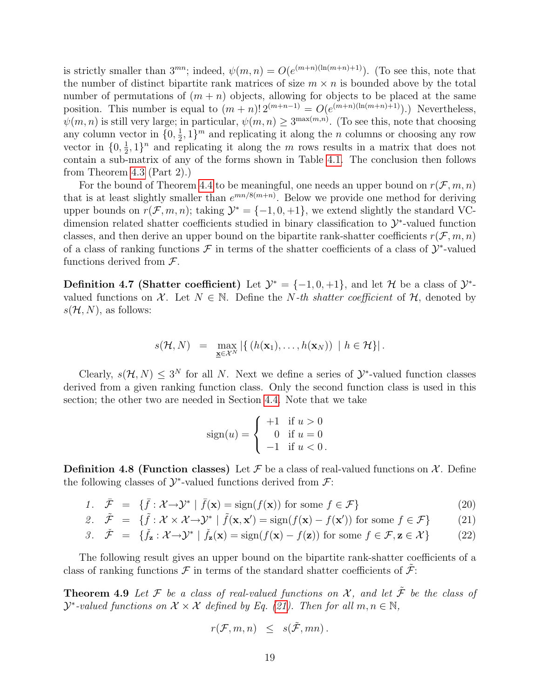is strictly smaller than  $3^{mn}$ ; indeed,  $\psi(m,n) = O(e^{(m+n)(\ln(m+n)+1)})$ . (To see this, note that the number of distinct bipartite rank matrices of size  $m \times n$  is bounded above by the total number of permutations of  $(m + n)$  objects, allowing for objects to be placed at the same position. This number is equal to  $(m+n)! 2^{(m+n-1)} = O(e^{(m+n)(\ln(m+n)+1)})$ . Nevertheless,  $\psi(m,n)$  is still very large; in particular,  $\psi(m,n) \geq 3^{\max(m,n)}$ . (To see this, note that choosing any column vector in  $\{0, \frac{1}{2}\}$  $\frac{1}{2}$ , 1}<sup>*m*</sup> and replicating it along the *n* columns or choosing any row vector in  $\{0, \frac{1}{2}\}$  $\frac{1}{2}$ , 1 $\}$ <sup>n</sup> and replicating it along the *m* rows results in a matrix that does not contain a sub-matrix of any of the forms shown in Table [4.1.](#page-15-0) The conclusion then follows from Theorem [4.3](#page-14-2) (Part 2).)

For the bound of Theorem [4.4](#page-16-0) to be meaningful, one needs an upper bound on  $r(\mathcal{F}, m, n)$ that is at least slightly smaller than  $e^{mn/8(m+n)}$ . Below we provide one method for deriving upper bounds on  $r(\mathcal{F}, m, n)$ ; taking  $\mathcal{Y}^* = \{-1, 0, +1\}$ , we extend slightly the standard VCdimension related shatter coefficients studied in binary classification to  $\mathcal{Y}^*$ -valued function classes, and then derive an upper bound on the bipartite rank-shatter coefficients  $r(\mathcal{F}, m, n)$ of a class of ranking functions  $\mathcal F$  in terms of the shatter coefficients of a class of  $\mathcal Y^*$ -valued functions derived from  $\mathcal{F}$ .

**Definition 4.7 (Shatter coefficient)** Let  $\mathcal{Y}^* = \{-1, 0, +1\}$ , and let  $\mathcal{H}$  be a class of  $\mathcal{Y}^*$ valued functions on X. Let  $N \in \mathbb{N}$ . Define the N-th shatter coefficient of H, denoted by  $s(\mathcal{H}, N)$ , as follows:

$$
s(\mathcal{H}, N) = \max_{\mathbf{x} \in \mathcal{X}^N} \left| \left\{ \left( h(\mathbf{x}_1), \ldots, h(\mathbf{x}_N) \right) \mid h \in \mathcal{H} \right\} \right|.
$$

Clearly,  $s(\mathcal{H}, N) \leq 3^N$  for all N. Next we define a series of  $\mathcal{Y}^*$ -valued function classes derived from a given ranking function class. Only the second function class is used in this section; the other two are needed in Section [4.4.](#page-21-0) Note that we take

$$
sign(u) = \begin{cases} +1 & \text{if } u > 0 \\ 0 & \text{if } u = 0 \\ -1 & \text{if } u < 0 \end{cases}
$$

**Definition 4.8 (Function classes)** Let  $\mathcal F$  be a class of real-valued functions on  $\mathcal X$ . Define the following classes of  $\mathcal{Y}^*$ -valued functions derived from  $\mathcal{F}$ :

1. 
$$
\bar{\mathcal{F}} = \{\bar{f} : \mathcal{X} \to \mathcal{Y}^* \mid \bar{f}(\mathbf{x}) = \text{sign}(f(\mathbf{x})) \text{ for some } f \in \mathcal{F}\}
$$
 (20)

<span id="page-18-0"></span>2. 
$$
\tilde{\mathcal{F}} = \{\tilde{f} : \mathcal{X} \times \mathcal{X} \to \mathcal{Y}^* \mid \tilde{f}(\mathbf{x}, \mathbf{x}') = \text{sign}(f(\mathbf{x}) - f(\mathbf{x}')) \text{ for some } f \in \mathcal{F}\}
$$
 (21)

3. 
$$
\check{\mathcal{F}} = \{\check{f}_\mathbf{z} : \mathcal{X} \to \mathcal{Y}^* \mid \check{f}_\mathbf{z}(\mathbf{x}) = \text{sign}(f(\mathbf{x}) - f(\mathbf{z})) \text{ for some } f \in \mathcal{F}, \mathbf{z} \in \mathcal{X}\}
$$
 (22)

The following result gives an upper bound on the bipartite rank-shatter coefficients of a class of ranking functions  $\mathcal F$  in terms of the standard shatter coefficients of  $\mathcal F$ :

<span id="page-18-1"></span>**Theorem 4.9** Let  $\mathcal F$  be a class of real-valued functions on  $\mathcal X$ , and let  $\tilde{\mathcal F}$  be the class of  $\mathcal{Y}^*$ -valued functions on  $\mathcal{X} \times \mathcal{X}$  defined by Eq. [\(21\)](#page-18-0). Then for all  $m, n \in \mathbb{N}$ ,

$$
r(\mathcal{F},m,n) \leq s(\tilde{\mathcal{F}},mn) .
$$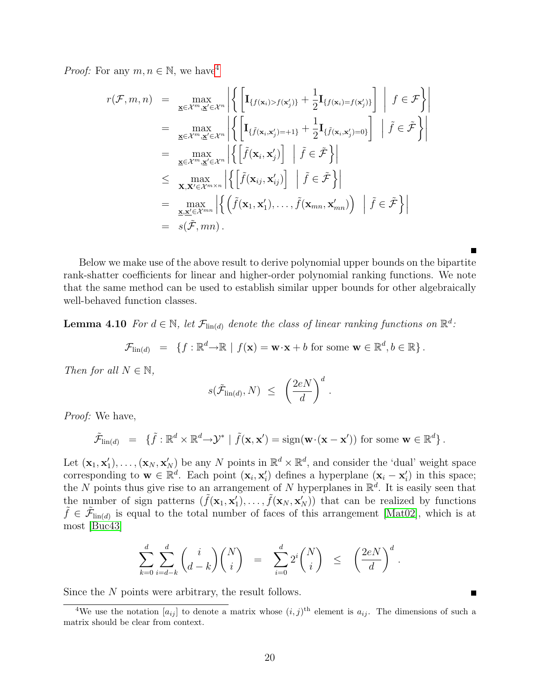*Proof:* For any  $m, n \in \mathbb{N}$ , we have<sup>[4](#page-19-0)</sup>

$$
r(\mathcal{F}, m, n) = \max_{\mathbf{x} \in \mathcal{X}^m, \mathbf{x}' \in \mathcal{X}^n} \left| \left\{ \left[ \mathbf{I}_{\{f(\mathbf{x}_i) > f(\mathbf{x}'_j)\}} + \frac{1}{2} \mathbf{I}_{\{f(\mathbf{x}_i) = f(\mathbf{x}'_j)\}} \right] \middle| f \in \mathcal{F} \right\} \right|
$$
\n
$$
= \max_{\mathbf{x} \in \mathcal{X}^m, \mathbf{x}' \in \mathcal{X}^n} \left| \left\{ \left[ \mathbf{I}_{\{\tilde{f}(\mathbf{x}_i, \mathbf{x}'_j) = +1\}} + \frac{1}{2} \mathbf{I}_{\{\tilde{f}(\mathbf{x}_i, \mathbf{x}'_j) = 0\}} \right] \middle| \tilde{f} \in \tilde{\mathcal{F}} \right\} \right|
$$
\n
$$
= \max_{\mathbf{x} \in \mathcal{X}^m, \mathbf{x}' \in \mathcal{X}^m} \left| \left\{ \left[ \tilde{f}(\mathbf{x}_i, \mathbf{x}'_j) \right] \middle| \tilde{f} \in \tilde{\mathcal{F}} \right\} \right|
$$
\n
$$
= \max_{\mathbf{x}, \mathbf{x}' \in \mathcal{X}^{m \times n}} \left| \left\{ \left[ \tilde{f}(\mathbf{x}_i, \mathbf{x}'_j) \right] \middle| \tilde{f} \in \tilde{\mathcal{F}} \right\} \right|
$$
\n
$$
= \max_{\mathbf{x}, \mathbf{x}' \in \mathcal{X}^{mn}} \left| \left\{ \left( \tilde{f}(\mathbf{x}_1, \mathbf{x}'_1), \dots, \tilde{f}(\mathbf{x}_{mn}, \mathbf{x}'_{mn}) \right) \middle| \tilde{f} \in \tilde{\mathcal{F}} \right\} \right|
$$
\n
$$
= s(\tilde{\mathcal{F}}, mn).
$$

Below we make use of the above result to derive polynomial upper bounds on the bipartite rank-shatter coefficients for linear and higher-order polynomial ranking functions. We note that the same method can be used to establish similar upper bounds for other algebraically well-behaved function classes.

<span id="page-19-1"></span>**Lemma 4.10** For  $d \in \mathbb{N}$ , let  $\mathcal{F}_{\text{lin}(d)}$  denote the class of linear ranking functions on  $\mathbb{R}^d$ .

$$
\mathcal{F}_{\text{lin}(d)} = \{ f : \mathbb{R}^d \to \mathbb{R} \mid f(\mathbf{x}) = \mathbf{w} \cdot \mathbf{x} + b \text{ for some } \mathbf{w} \in \mathbb{R}^d, b \in \mathbb{R} \}.
$$

Then for all  $N \in \mathbb{N}$ ,

$$
s(\tilde{\mathcal{F}}_{\text{lin}(d)}, N) \leq \left(\frac{2eN}{d}\right)^d.
$$

Proof: We have,

$$
\tilde{\mathcal{F}}_{\text{lin}(d)} = \{ \tilde{f} : \mathbb{R}^d \times \mathbb{R}^d \to \mathcal{Y}^* \mid \tilde{f}(\mathbf{x}, \mathbf{x}') = \text{sign}(\mathbf{w} \cdot (\mathbf{x} - \mathbf{x}')) \text{ for some } \mathbf{w} \in \mathbb{R}^d \}.
$$

Let  $(\mathbf{x}_1, \mathbf{x}'_1), \ldots, (\mathbf{x}_N, \mathbf{x}'_N)$  be any N points in  $\mathbb{R}^d \times \mathbb{R}^d$ , and consider the 'dual' weight space corresponding to  $\mathbf{w} \in \mathbb{R}^d$ . Each point  $(\mathbf{x}_i, \mathbf{x}'_i)$  defines a hyperplane  $(\mathbf{x}_i - \mathbf{x}'_i)$  in this space; the N points thus give rise to an arrangement of N hyperplanes in  $\mathbb{R}^d$ . It is easily seen that the number of sign patterns  $(\tilde{f}(\mathbf{x}_1, \mathbf{x}'_1), \ldots, \tilde{f}(\mathbf{x}_N, \mathbf{x}'_N))$  that can be realized by functions  $\tilde{f} \in \tilde{\mathcal{F}}_{\text{lin}(d)}$  is equal to the total number of faces of this arrangement [\[Mat02\]](#page-32-12), which is at most [\[Buc43\]](#page-31-6)

$$
\sum_{k=0}^d \sum_{i=d-k}^d \binom{i}{d-k} \binom{N}{i} = \sum_{i=0}^d 2^i \binom{N}{i} \le \left(\frac{2eN}{d}\right)^d.
$$

<span id="page-19-2"></span>Since the N points were arbitrary, the result follows.

<span id="page-19-0"></span><sup>&</sup>lt;sup>4</sup>We use the notation  $[a_{ij}]$  to denote a matrix whose  $(i, j)$ <sup>th</sup> element is  $a_{ij}$ . The dimensions of such a matrix should be clear from context.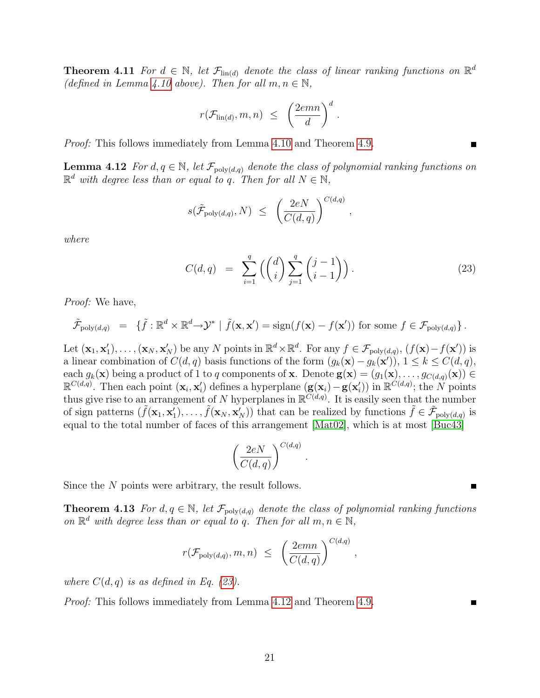**Theorem 4.11** For  $d \in \mathbb{N}$ , let  $\mathcal{F}_{\text{lin}(d)}$  denote the class of linear ranking functions on  $\mathbb{R}^d$ (defined in Lemma [4.10](#page-19-1) above). Then for all  $m, n \in \mathbb{N}$ ,

$$
r(\mathcal{F}_{\text{lin}(d)}, m, n) \leq \left(\frac{2emn}{d}\right)^d.
$$

<span id="page-20-1"></span>Proof: This follows immediately from Lemma [4.10](#page-19-1) and Theorem [4.9.](#page-18-1)

**Lemma 4.12** For  $d, q \in \mathbb{N}$ , let  $\mathcal{F}_{poly(d,q)}$  denote the class of polynomial ranking functions on  $\mathbb{R}^d$  with degree less than or equal to q. Then for all  $N \in \mathbb{N}$ ,

$$
s(\tilde{\mathcal{F}}_{\text{poly}(d,q)}, N) \leq \left(\frac{2eN}{C(d,q)}\right)^{C(d,q)},
$$

where

<span id="page-20-0"></span>
$$
C(d,q) = \sum_{i=1}^{q} \left( \binom{d}{i} \sum_{j=1}^{q} \binom{j-1}{i-1} \right).
$$
 (23)

Proof: We have,

$$
\tilde{\mathcal{F}}_{\text{poly}(d,q)} = \{ \tilde{f} : \mathbb{R}^d \times \mathbb{R}^d \to \mathcal{Y}^* \mid \tilde{f}(\mathbf{x}, \mathbf{x}') = \text{sign}(f(\mathbf{x}) - f(\mathbf{x}')) \text{ for some } f \in \mathcal{F}_{\text{poly}(d,q)} \}.
$$

Let  $(\mathbf{x}_1, \mathbf{x}'_1), \dots, (\mathbf{x}_N, \mathbf{x}'_N)$  be any N points in  $\mathbb{R}^d \times \mathbb{R}^d$ . For any  $f \in \mathcal{F}_{poly(d,q)}, (f(\mathbf{x})-f(\mathbf{x}'))$  is a linear combination of  $C(d, q)$  basis functions of the form  $(g_k(\mathbf{x}) - g_k(\mathbf{x}'))$ ,  $1 \leq k \leq C(d, q)$ , each  $g_k(\mathbf{x})$  being a product of 1 to q components of **x**. Denote  $\mathbf{g}(\mathbf{x}) = (g_1(\mathbf{x}), \ldots, g_{C(d,q)}(\mathbf{x})) \in$  $\mathbb{R}^{C(d,q)}$ . Then each point  $(\mathbf{x}_i, \mathbf{x}'_i)$  defines a hyperplane  $(\mathbf{g}(\mathbf{x}_i)-\mathbf{g}(\mathbf{x}'_i))$  in  $\mathbb{R}^{C(d,q)}$ ; the N points thus give rise to an arrangement of N hyperplanes in  $\mathbb{R}^{\widetilde{C}(d,q)}$ . It is easily seen that the number of sign patterns  $(\tilde{f}(\mathbf{x}_1, \mathbf{x}_1'), \dots, \tilde{f}(\mathbf{x}_N, \mathbf{x}_N'))$  that can be realized by functions  $\tilde{f} \in \tilde{\mathcal{F}}_{poly(d,q)}$  is equal to the total number of faces of this arrangement [\[Mat02\]](#page-32-12), which is at most [\[Buc43\]](#page-31-6)

$$
\left(\frac{2eN}{C(d,q)}\right)^{C(d,q)}.
$$

Since the N points were arbitrary, the result follows.

**Theorem 4.13** For  $d, q \in \mathbb{N}$ , let  $\mathcal{F}_{poly(d,q)}$  denote the class of polynomial ranking functions on  $\mathbb{R}^d$  with degree less than or equal to q. Then for all  $m, n \in \mathbb{N}$ ,

$$
r(\mathcal{F}_{poly(d,q)}, m, n) \leq \left(\frac{2emn}{C(d,q)}\right)^{C(d,q)},
$$

where  $C(d, q)$  is as defined in Eq. [\(23\)](#page-20-0).

Proof: This follows immediately from Lemma [4.12](#page-20-1) and Theorem [4.9.](#page-18-1)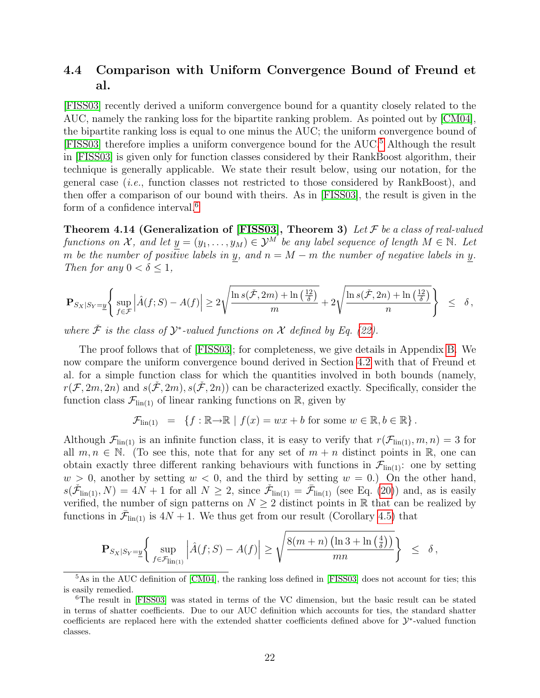### <span id="page-21-0"></span>4.4 Comparison with Uniform Convergence Bound of Freund et al.

[\[FISS03\]](#page-32-0) recently derived a uniform convergence bound for a quantity closely related to the AUC, namely the ranking loss for the bipartite ranking problem. As pointed out by [\[CM04\]](#page-31-1), the bipartite ranking loss is equal to one minus the AUC; the uniform convergence bound of [\[FISS03\]](#page-32-0) therefore implies a uniform convergence bound for the AUC.[5](#page-21-1) Although the result in [\[FISS03\]](#page-32-0) is given only for function classes considered by their RankBoost algorithm, their technique is generally applicable. We state their result below, using our notation, for the general case  $(i.e.,$  function classes not restricted to those considered by RankBoost), and then offer a comparison of our bound with theirs. As in [\[FISS03\]](#page-32-0), the result is given in the form of a confidence interval.<sup>[6](#page-21-2)</sup>

<span id="page-21-3"></span>Theorem 4.14 (Generalization of [\[FISS03\]](#page-32-0), Theorem 3) Let  $\mathcal F$  be a class of real-valued functions on X, and let  $\underline{y} = (y_1, \ldots, y_M) \in \mathcal{Y}^M$  be any label sequence of length  $M \in \mathbb{N}$ . Let m be the number of positive labels in y, and  $n = M - m$  the number of negative labels in y. Then for any  $0 < \delta \leq 1$ ,

$$
\mathbf{P}_{S_X|S_Y=\underline{y}}\Bigg\{\sup_{f\in\mathcal{F}}\Big|\hat{A}(f;S)-A(f)\Big|\geq 2\sqrt{\frac{\ln s(\check{\mathcal{F}},2m)+\ln\left(\frac{12}{\delta}\right)}{m}}+2\sqrt{\frac{\ln s(\check{\mathcal{F}},2n)+\ln\left(\frac{12}{\delta}\right)}{n}}\Bigg\}\quad\leq\quad \delta\,,
$$

where  $\check{\mathcal{F}}$  is the class of  $\mathcal{Y}^*$ -valued functions on  $\mathcal X$  defined by Eq. [\(22\)](#page-18-0).

The proof follows that of [\[FISS03\]](#page-32-0); for completeness, we give details in Appendix [B.](#page-29-0) We now compare the uniform convergence bound derived in Section [4.2](#page-16-1) with that of Freund et al. for a simple function class for which the quantities involved in both bounds (namely,  $r(\mathcal{F}, 2m, 2n)$  and  $s(\tilde{\mathcal{F}}, 2m), s(\tilde{\mathcal{F}}, 2n)$  can be characterized exactly. Specifically, consider the function class  $\mathcal{F}_{\text{lin}(1)}$  of linear ranking functions on  $\mathbb{R}$ , given by

$$
\mathcal{F}_{\text{lin}(1)} = \{ f : \mathbb{R} \to \mathbb{R} \mid f(x) = wx + b \text{ for some } w \in \mathbb{R}, b \in \mathbb{R} \}.
$$

Although  $\mathcal{F}_{\text{lin}(1)}$  is an infinite function class, it is easy to verify that  $r(\mathcal{F}_{\text{lin}(1)}, m, n) = 3$  for all  $m, n \in \mathbb{N}$ . (To see this, note that for any set of  $m + n$  distinct points in R, one can obtain exactly three different ranking behaviours with functions in  $\mathcal{F}_{lin(1)}$ : one by setting  $w > 0$ , another by setting  $w < 0$ , and the third by setting  $w = 0$ .) On the other hand,  $s(\check{\mathcal{F}}_{\text{lin}(1)}, N) = 4N + 1$  for all  $N \geq 2$ , since  $\check{\mathcal{F}}_{\text{lin}(1)} = \bar{\mathcal{F}}_{\text{lin}(1)}$  (see Eq. [\(20\)](#page-18-0)) and, as is easily verified, the number of sign patterns on  $N \geq 2$  distinct points in R that can be realized by functions in  $\bar{\mathcal{F}}_{lin(1)}$  is  $4N+1$ . We thus get from our result (Corollary [4.5\)](#page-17-1) that

$$
\mathbf{P}_{S_X|S_Y=\underline{y}}\left\{\sup_{f\in\mathcal{F}_{\text{lin}(1)}}\left|\hat{A}(f;S)-A(f)\right|\geq\sqrt{\frac{8(m+n)\left(\ln3+\ln\left(\frac{4}{\delta}\right)\right)}{mn}}\right\}\ \leq\ \delta\,,
$$

<span id="page-21-1"></span><sup>&</sup>lt;sup>5</sup>As in the AUC definition of [\[CM04\]](#page-31-1), the ranking loss defined in [\[FISS03\]](#page-32-0) does not account for ties; this is easily remedied.

<span id="page-21-2"></span><sup>6</sup>The result in [\[FISS03\]](#page-32-0) was stated in terms of the VC dimension, but the basic result can be stated in terms of shatter coefficients. Due to our AUC definition which accounts for ties, the standard shatter coefficients are replaced here with the extended shatter coefficients defined above for  $\mathcal{Y}^*$ -valued function classes.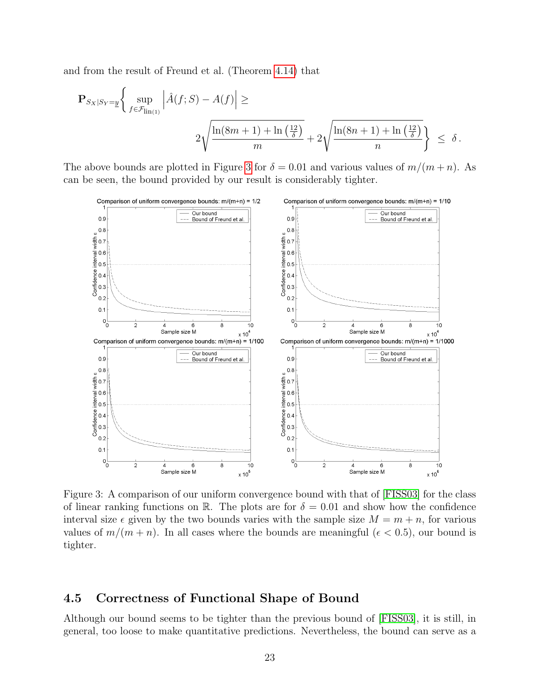and from the result of Freund et al. (Theorem [4.14\)](#page-21-3) that

$$
\mathbf{P}_{S_X|S_Y=\underline{y}}\left\{\sup_{f\in\mathcal{F}_{\text{lin}(1)}}\left|\hat{A}(f;S)-A(f)\right|\geq\right.
$$
  

$$
2\sqrt{\frac{\ln(8m+1)+\ln\left(\frac{12}{\delta}\right)}{m}}+2\sqrt{\frac{\ln(8n+1)+\ln\left(\frac{12}{\delta}\right)}{n}}\right\}\leq\delta.
$$

The above bounds are plotted in Figure [3](#page-22-0) for  $\delta = 0.01$  and various values of  $m/(m+n)$ . As can be seen, the bound provided by our result is considerably tighter.



<span id="page-22-0"></span>Figure 3: A comparison of our uniform convergence bound with that of [\[FISS03\]](#page-32-0) for the class of linear ranking functions on R. The plots are for  $\delta = 0.01$  and show how the confidence interval size  $\epsilon$  given by the two bounds varies with the sample size  $M = m + n$ , for various values of  $m/(m + n)$ . In all cases where the bounds are meaningful ( $\epsilon < 0.5$ ), our bound is tighter.

### <span id="page-22-1"></span>4.5 Correctness of Functional Shape of Bound

Although our bound seems to be tighter than the previous bound of [\[FISS03\]](#page-32-0), it is still, in general, too loose to make quantitative predictions. Nevertheless, the bound can serve as a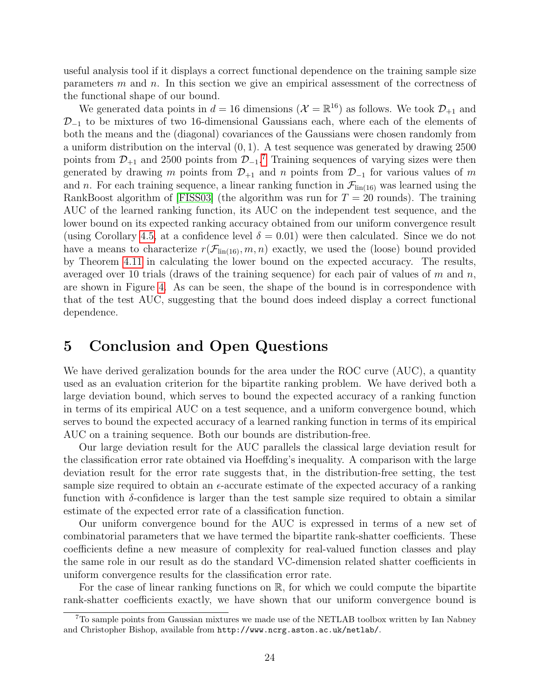useful analysis tool if it displays a correct functional dependence on the training sample size parameters  $m$  and  $n$ . In this section we give an empirical assessment of the correctness of the functional shape of our bound.

We generated data points in  $d = 16$  dimensions  $(\mathcal{X} = \mathbb{R}^{16})$  as follows. We took  $\mathcal{D}_{+1}$  and  $\mathcal{D}_{-1}$  to be mixtures of two 16-dimensional Gaussians each, where each of the elements of both the means and the (diagonal) covariances of the Gaussians were chosen randomly from a uniform distribution on the interval  $(0, 1)$ . A test sequence was generated by drawing 2500 points from  $\mathcal{D}_{+1}$  and 2500 points from  $\mathcal{D}_{-1}$ .<sup>[7](#page-23-1)</sup> Training sequences of varying sizes were then generated by drawing m points from  $\mathcal{D}_{+1}$  and n points from  $\mathcal{D}_{-1}$  for various values of m and n. For each training sequence, a linear ranking function in  $\mathcal{F}_{lin(16)}$  was learned using the RankBoost algorithm of [\[FISS03\]](#page-32-0) (the algorithm was run for  $T = 20$  rounds). The training AUC of the learned ranking function, its AUC on the independent test sequence, and the lower bound on its expected ranking accuracy obtained from our uniform convergence result (using Corollary [4.5,](#page-17-1) at a confidence level  $\delta = 0.01$ ) were then calculated. Since we do not have a means to characterize  $r(\mathcal{F}_{lin(16)}, m, n)$  exactly, we used the (loose) bound provided by Theorem [4.11](#page-19-2) in calculating the lower bound on the expected accuracy. The results, averaged over 10 trials (draws of the training sequence) for each pair of values of m and n, are shown in Figure [4.](#page-24-0) As can be seen, the shape of the bound is in correspondence with that of the test AUC, suggesting that the bound does indeed display a correct functional dependence.

# <span id="page-23-0"></span>5 Conclusion and Open Questions

We have derived geralization bounds for the area under the ROC curve (AUC), a quantity used as an evaluation criterion for the bipartite ranking problem. We have derived both a large deviation bound, which serves to bound the expected accuracy of a ranking function in terms of its empirical AUC on a test sequence, and a uniform convergence bound, which serves to bound the expected accuracy of a learned ranking function in terms of its empirical AUC on a training sequence. Both our bounds are distribution-free.

Our large deviation result for the AUC parallels the classical large deviation result for the classification error rate obtained via Hoeffding's inequality. A comparison with the large deviation result for the error rate suggests that, in the distribution-free setting, the test sample size required to obtain an  $\epsilon$ -accurate estimate of the expected accuracy of a ranking function with  $\delta$ -confidence is larger than the test sample size required to obtain a similar estimate of the expected error rate of a classification function.

Our uniform convergence bound for the AUC is expressed in terms of a new set of combinatorial parameters that we have termed the bipartite rank-shatter coefficients. These coefficients define a new measure of complexity for real-valued function classes and play the same role in our result as do the standard VC-dimension related shatter coefficients in uniform convergence results for the classification error rate.

For the case of linear ranking functions on  $\mathbb{R}$ , for which we could compute the bipartite rank-shatter coefficients exactly, we have shown that our uniform convergence bound is

<span id="page-23-1"></span><sup>7</sup>To sample points from Gaussian mixtures we made use of the NETLAB toolbox written by Ian Nabney and Christopher Bishop, available from http://www.ncrg.aston.ac.uk/netlab/.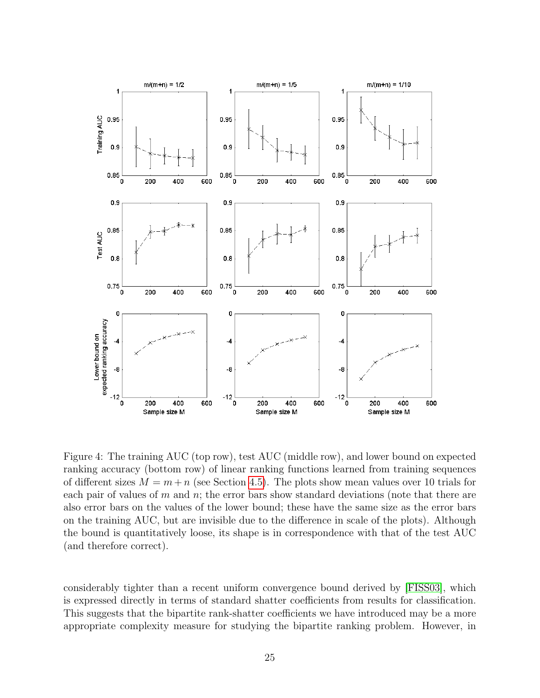

<span id="page-24-0"></span>Figure 4: The training AUC (top row), test AUC (middle row), and lower bound on expected ranking accuracy (bottom row) of linear ranking functions learned from training sequences of different sizes  $M = m + n$  (see Section [4.5\)](#page-22-1). The plots show mean values over 10 trials for each pair of values of  $m$  and  $n$ ; the error bars show standard deviations (note that there are also error bars on the values of the lower bound; these have the same size as the error bars on the training AUC, but are invisible due to the difference in scale of the plots). Although the bound is quantitatively loose, its shape is in correspondence with that of the test AUC (and therefore correct).

considerably tighter than a recent uniform convergence bound derived by [\[FISS03\]](#page-32-0), which is expressed directly in terms of standard shatter coefficients from results for classification. This suggests that the bipartite rank-shatter coefficients we have introduced may be a more appropriate complexity measure for studying the bipartite ranking problem. However, in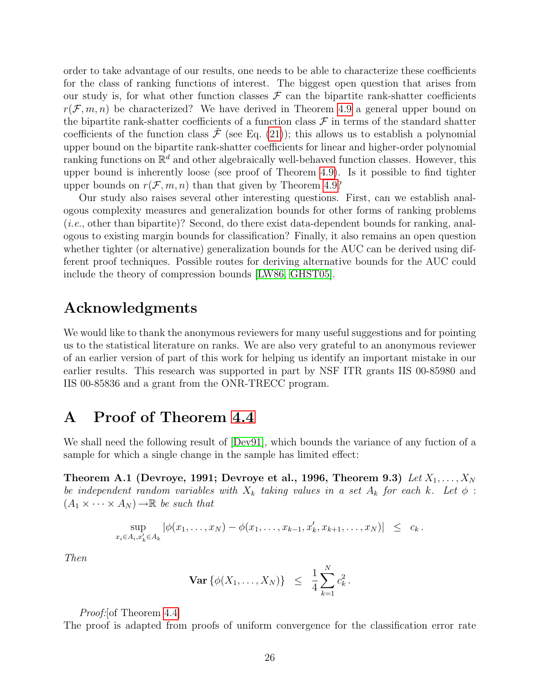order to take advantage of our results, one needs to be able to characterize these coefficients for the class of ranking functions of interest. The biggest open question that arises from our study is, for what other function classes  $\mathcal F$  can the bipartite rank-shatter coefficients  $r(\mathcal{F}, m, n)$  be characterized? We have derived in Theorem [4.9](#page-18-1) a general upper bound on the bipartite rank-shatter coefficients of a function class  $\mathcal F$  in terms of the standard shatter coefficients of the function class  $\tilde{\mathcal{F}}$  (see Eq. [\(21\)](#page-18-0)); this allows us to establish a polynomial upper bound on the bipartite rank-shatter coefficients for linear and higher-order polynomial ranking functions on  $\mathbb{R}^d$  and other algebraically well-behaved function classes. However, this upper bound is inherently loose (see proof of Theorem [4.9\)](#page-18-1). Is it possible to find tighter upper bounds on  $r(\mathcal{F}, m, n)$  than that given by Theorem [4.9?](#page-18-1)

Our study also raises several other interesting questions. First, can we establish analogous complexity measures and generalization bounds for other forms of ranking problems (i.e., other than bipartite)? Second, do there exist data-dependent bounds for ranking, analogous to existing margin bounds for classification? Finally, it also remains an open question whether tighter (or alternative) generalization bounds for the AUC can be derived using different proof techniques. Possible routes for deriving alternative bounds for the AUC could include the theory of compression bounds [\[LW86,](#page-32-13) [GHST05\]](#page-32-14).

### Acknowledgments

We would like to thank the anonymous reviewers for many useful suggestions and for pointing us to the statistical literature on ranks. We are also very grateful to an anonymous reviewer of an earlier version of part of this work for helping us identify an important mistake in our earlier results. This research was supported in part by NSF ITR grants IIS 00-85980 and IIS 00-85836 and a grant from the ONR-TRECC program.

### <span id="page-25-0"></span>A Proof of Theorem [4.4](#page-16-0)

We shall need the following result of  $[Dev91]$ , which bounds the variance of any fuction of a sample for which a single change in the sample has limited effect:

<span id="page-25-1"></span>Theorem A.1 (Devroye, 1991; Devroye et al., 1996, Theorem 9.3) Let  $X_1, \ldots, X_N$ be independent random variables with  $X_k$  taking values in a set  $A_k$  for each k. Let  $\phi$ :  $(A_1 \times \cdots \times A_N) \rightarrow \mathbb{R}$  be such that

$$
\sup_{x_i \in A_i, x'_k \in A_k} |\phi(x_1, \ldots, x_N) - \phi(x_1, \ldots, x_{k-1}, x'_k, x_{k+1}, \ldots, x_N)| \leq c_k.
$$

Then

$$
\mathbf{Var}\left\{\phi(X_1,\ldots,X_N)\right\} \ \leq \ \frac{1}{4}\sum_{k=1}^N c_k^2 \,.
$$

Proof: [of Theorem [4.4\]](#page-16-0)

The proof is adapted from proofs of uniform convergence for the classification error rate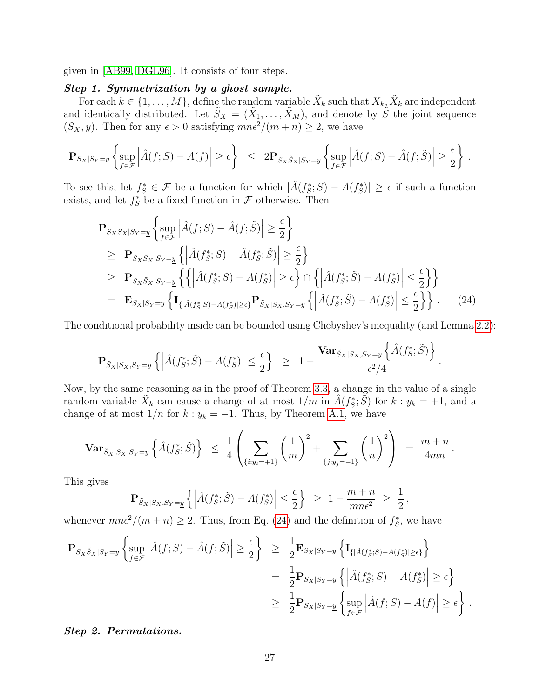given in [\[AB99,](#page-31-5) [DGL96\]](#page-32-10). It consists of four steps.

#### Step 1. Symmetrization by a ghost sample.

For each  $k \in \{1, \ldots, M\}$ , define the random variable  $\tilde{X}_k$  such that  $X_k, \tilde{X}_k$  are independent and identically distributed. Let  $\tilde{S}_X = (\tilde{X}_1, \ldots, \tilde{X}_M)$ , and denote by  $\tilde{S}$  the joint sequence  $(\tilde{S}_X, y)$ . Then for any  $\epsilon > 0$  satisfying  $mn\epsilon^2/(m+n) \geq 2$ , we have

$$
\mathbf{P}_{S_X|S_Y=\underline{y}}\left\{\sup_{f\in\mathcal{F}}\left|\hat{A}(f;S)-A(f)\right|\geq\epsilon\right\}\ \leq\ 2\mathbf{P}_{S_X\tilde{S}_X|S_Y=\underline{y}}\left\{\sup_{f\in\mathcal{F}}\left|\hat{A}(f;S)-\hat{A}(f;\tilde{S})\right|\geq\frac{\epsilon}{2}\right\}\ .
$$

To see this, let  $f_S^* \in \mathcal{F}$  be a function for which  $|\hat{A}(f_S^*;S) - A(f_S^*)| \geq \epsilon$  if such a function exists, and let  $f_S^*$  be a fixed function in  $\mathcal F$  otherwise. Then

<span id="page-26-0"></span>
$$
\mathbf{P}_{S_X \tilde{S}_X | S_Y = \underline{y}} \left\{ \sup_{f \in \mathcal{F}} \left| \hat{A}(f; S) - \hat{A}(f; \tilde{S}) \right| \ge \frac{\epsilon}{2} \right\}
$$
\n
$$
\ge \mathbf{P}_{S_X \tilde{S}_X | S_Y = \underline{y}} \left\{ \left| \hat{A}(f^*_S; S) - \hat{A}(f^*_S; \tilde{S}) \right| \ge \frac{\epsilon}{2} \right\}
$$
\n
$$
\ge \mathbf{P}_{S_X \tilde{S}_X | S_Y = \underline{y}} \left\{ \left| \hat{A}(f^*_S; S) - A(f^*_S) \right| \ge \epsilon \right\} \cap \left\{ \left| \hat{A}(f^*_S; \tilde{S}) - A(f^*_S) \right| \le \frac{\epsilon}{2} \right\} \right\}
$$
\n
$$
= \mathbf{E}_{S_X | S_Y = \underline{y}} \left\{ \mathbf{I}_{\{|\hat{A}(f^*_S; S) - A(f^*_S)| \ge \epsilon\}} \mathbf{P}_{\tilde{S}_X | S_X, S_Y = \underline{y}} \left\{ \left| \hat{A}(f^*_S; \tilde{S}) - A(f^*_S) \right| \le \frac{\epsilon}{2} \right\} \right\}. \tag{24}
$$

The conditional probability inside can be bounded using Chebyshev's inequality (and Lemma [2.2\)](#page-5-2):

$$
\mathbf{P}_{\tilde{S}_X|S_X,S_Y=\underline{y}}\left\{\left|\hat{A}(f_S^*;\tilde{S})-A(f_S^*)\right|\leq \frac{\epsilon}{2}\right\}\ \geq\ 1-\frac{\mathbf{Var}_{\tilde{S}_X|S_X,S_Y=\underline{y}}\left\{\hat{A}(f_S^*;\tilde{S})\right\}}{\epsilon^2/4}\,.
$$

Now, by the same reasoning as in the proof of Theorem [3.3,](#page-7-0) a change in the value of a single random variable  $\tilde{X}_k$  can cause a change of at most  $1/m$  in  $\hat{A}(f^*_S, \tilde{S})$  for  $k : y_k = +1$ , and a change of at most  $1/n$  for  $k : y_k = -1$ . Thus, by Theorem [A.1,](#page-25-1) we have

$$
\mathbf{Var}_{\tilde{S}_X|S_X,S_Y=\underline{y}}\left\{\hat{A}(f_S^*;\tilde{S})\right\} \ \leq \ \frac{1}{4}\left(\sum_{\{i:y_i=+1\}}\left(\frac{1}{m}\right)^2+\sum_{\{j:y_j=-1\}}\left(\frac{1}{n}\right)^2\right) \ = \ \frac{m+n}{4mn}\,.
$$

This gives

$$
\mathbf{P}_{\tilde{S}_X|S_X,S_Y=\underline{y}}\left\{\left|\hat{A}(f_S^*;\tilde{S})-A(f_S^*)\right|\leq \frac{\epsilon}{2}\right\} \geq 1-\frac{m+n}{mn\epsilon^2} \geq \frac{1}{2},
$$

whenever  $mn\epsilon^2/(m+n) \geq 2$ . Thus, from Eq. [\(24\)](#page-26-0) and the definition of  $f_S^*$ , we have

$$
\begin{split} \mathbf{P}_{S_X \tilde{S}_X | S_Y = \underline{y}} \left\{ \sup_{f \in \mathcal{F}} \left| \hat{A}(f; S) - \hat{A}(f; \tilde{S}) \right| \geq \frac{\epsilon}{2} \right\} &\geq \frac{1}{2} \mathbf{E}_{S_X | S_Y = \underline{y}} \left\{ \mathbf{I}_{\{|\hat{A}(f^*_S; S) - A(f^*_S)| \geq \epsilon\}} \right\} \\ &= \frac{1}{2} \mathbf{P}_{S_X | S_Y = \underline{y}} \left\{ \left| \hat{A}(f^*_S; S) - A(f^*_S) \right| \geq \epsilon \right\} \\ &\geq \frac{1}{2} \mathbf{P}_{S_X | S_Y = \underline{y}} \left\{ \sup_{f \in \mathcal{F}} \left| \hat{A}(f; S) - A(f) \right| \geq \epsilon \right\} . \end{split}
$$

#### Step 2. Permutations.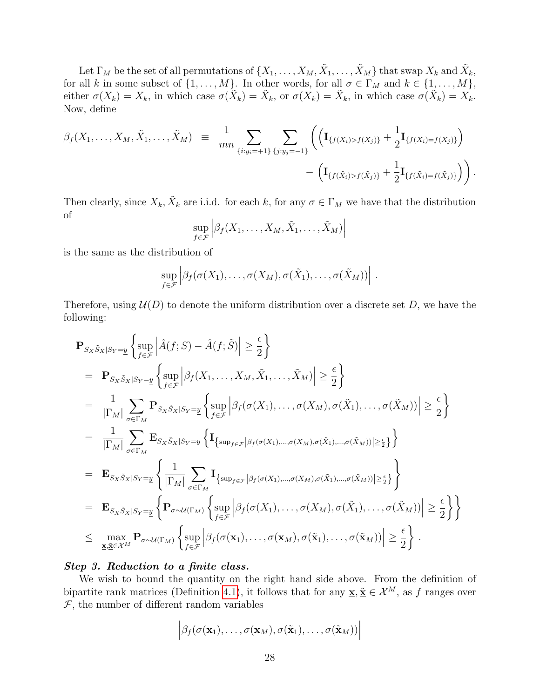Let  $\Gamma_M$  be the set of all permutations of  $\{X_1,\ldots,X_M,\tilde{X}_1,\ldots,\tilde{X}_M\}$  that swap  $X_k$  and  $\tilde{X}_k$ , for all k in some subset of  $\{1, \ldots, M\}$ . In other words, for all  $\sigma \in \Gamma_M$  and  $k \in \{1, \ldots, M\}$ , either  $\sigma(X_k) = X_k$ , in which case  $\sigma(\tilde{X}_k) = \tilde{X}_k$ , or  $\sigma(X_k) = \tilde{X}_k$ , in which case  $\sigma(\tilde{X}_k) = X_k$ . Now, define

$$
\beta_f(X_1,\ldots,X_M,\tilde{X}_1,\ldots,\tilde{X}_M) \equiv \frac{1}{mn} \sum_{\{i:y_i=+1\}} \sum_{\{j:y_j=-1\}} \left( \left( \mathbf{I}_{\{f(X_i) > f(X_j)\}} + \frac{1}{2} \mathbf{I}_{\{f(X_i) = f(X_j)\}} \right) - \left( \mathbf{I}_{\{f(\tilde{X}_i) > f(\tilde{X}_j)\}} + \frac{1}{2} \mathbf{I}_{\{f(\tilde{X}_i) = f(\tilde{X}_j)\}} \right) \right).
$$

Then clearly, since  $X_k$ ,  $\tilde{X}_k$  are i.i.d. for each k, for any  $\sigma \in \Gamma_M$  we have that the distribution of

$$
\sup_{f \in \mathcal{F}} \left| \beta_f(X_1, \dots, X_M, \tilde{X}_1, \dots, \tilde{X}_M) \right|
$$

is the same as the distribution of

$$
\sup_{f\in\mathcal{F}}\left|\beta_f(\sigma(X_1),\ldots,\sigma(X_M),\sigma(\tilde{X}_1),\ldots,\sigma(\tilde{X}_M))\right|.
$$

Therefore, using  $\mathcal{U}(D)$  to denote the uniform distribution over a discrete set D, we have the following:

$$
\begin{split}\n&\mathbf{P}_{S_{X}\tilde{S}_{X}|S_{Y}=\underline{y}}\left\{\sup_{f\in\mathcal{F}}\left|\hat{A}(f;S)-\hat{A}(f;\tilde{S})\right|\geq\frac{\epsilon}{2}\right\} \\
&=\mathbf{P}_{S_{X}\tilde{S}_{X}|S_{Y}=\underline{y}}\left\{\sup_{f\in\mathcal{F}}\left|\beta_{f}(X_{1},\ldots,X_{M},\tilde{X}_{1},\ldots,\tilde{X}_{M})\right|\geq\frac{\epsilon}{2}\right\} \\
&=\frac{1}{|\Gamma_{M}|}\sum_{\sigma\in\Gamma_{M}}\mathbf{P}_{S_{X}\tilde{S}_{X}|S_{Y}=\underline{y}}\left\{\sup_{f\in\mathcal{F}}\left|\beta_{f}(\sigma(X_{1}),\ldots,\sigma(X_{M}),\sigma(\tilde{X}_{1}),\ldots,\sigma(\tilde{X}_{M}))\right|\geq\frac{\epsilon}{2}\right\} \\
&=\frac{1}{|\Gamma_{M}|}\sum_{\sigma\in\Gamma_{M}}\mathbf{E}_{S_{X}\tilde{S}_{X}|S_{Y}=\underline{y}}\left\{\mathbf{I}_{\left\{\sup_{f\in\mathcal{F}}\left|\beta_{f}(\sigma(X_{1}),\ldots,\sigma(X_{M}),\sigma(\tilde{X}_{1}),\ldots,\sigma(\tilde{X}_{M}))\right|\geq\frac{\epsilon}{2}\right\}}\right\} \\
&=\mathbf{E}_{S_{X}\tilde{S}_{X}|S_{Y}=\underline{y}}\left\{\frac{1}{|\Gamma_{M}|}\sum_{\sigma\in\Gamma_{M}}\mathbf{I}_{\left\{\sup_{f\in\mathcal{F}}\left|\beta_{f}(\sigma(X_{1}),\ldots,\sigma(X_{M}),\sigma(\tilde{X}_{1}),\ldots,\sigma(\tilde{X}_{M}))\right|\geq\frac{\epsilon}{2}\right\}}\right\} \\
&=\mathbf{E}_{S_{X}\tilde{S}_{X}|S_{Y}=\underline{y}}\left\{\mathbf{P}_{\sigma\sim\mathcal{U}(\Gamma_{M})}\left\{\sup_{f\in\mathcal{F}}\left|\beta_{f}(\sigma(X_{1}),\ldots,\sigma(X_{M}),\sigma(\tilde{X}_{1}),\ldots,\sigma(\tilde{X}_{M}))\right|\geq\frac{\epsilon}{2}\right\}\right\} \\
&\leq\max_{\mathbf{X},\tilde{\mathbf{X}}\in\mathcal{X}^{M}}\mathbf{P}_{\sigma\
$$

#### Step 3. Reduction to a finite class.

We wish to bound the quantity on the right hand side above. From the definition of bipartite rank matrices (Definition [4.1\)](#page-14-3), it follows that for any  $\underline{\mathbf{x}}, \underline{\tilde{\mathbf{x}}} \in \mathcal{X}^M$ , as f ranges over  $\mathcal F,$  the number of different random variables

$$
\left|\beta_f(\sigma(\mathbf{x}_1),\ldots,\sigma(\mathbf{x}_M),\sigma(\tilde{\mathbf{x}}_1),\ldots,\sigma(\tilde{\mathbf{x}}_M))\right|
$$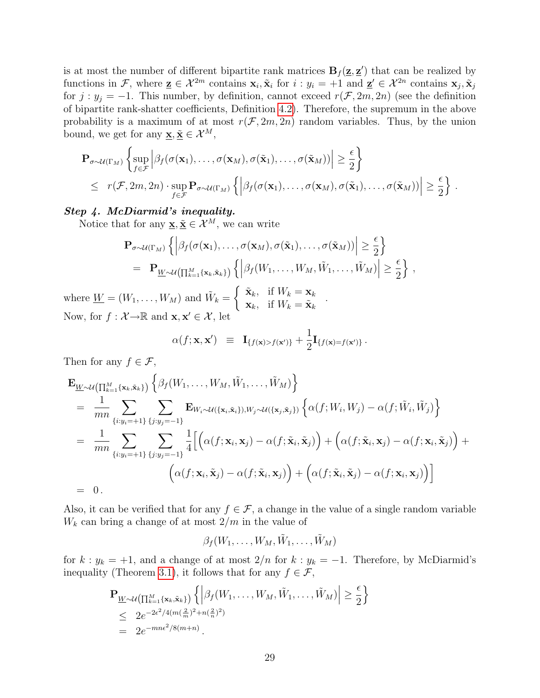is at most the number of different bipartite rank matrices  $B_f(z, z')$  that can be realized by functions in F, where  $\underline{\mathbf{z}} \in \mathcal{X}^{2m}$  contains  $\mathbf{x}_i, \tilde{\mathbf{x}}_i$  for  $i : y_i = +1$  and  $\underline{\mathbf{z}}' \in \mathcal{X}^{2n}$  contains  $\mathbf{x}_j, \tilde{\mathbf{x}}_j$ for  $j : y_j = -1$ . This number, by definition, cannot exceed  $r(\mathcal{F}, 2m, 2n)$  (see the definition of bipartite rank-shatter coefficients, Definition [4.2\)](#page-14-4). Therefore, the supremum in the above probability is a maximum of at most  $r(\mathcal{F}, 2m, 2n)$  random variables. Thus, by the union bound, we get for any  $\underline{\mathbf{x}}, \underline{\tilde{\mathbf{x}}} \in \mathcal{X}^M$ ,

$$
\mathbf{P}_{\sigma \sim \mathcal{U}(\Gamma_M)} \left\{ \sup_{f \in \mathcal{F}} \left| \beta_f(\sigma(\mathbf{x}_1), \dots, \sigma(\mathbf{x}_M), \sigma(\tilde{\mathbf{x}}_1), \dots, \sigma(\tilde{\mathbf{x}}_M)) \right| \geq \frac{\epsilon}{2} \right\} \n\leq r(\mathcal{F}, 2m, 2n) \cdot \sup_{f \in \mathcal{F}} \mathbf{P}_{\sigma \sim \mathcal{U}(\Gamma_M)} \left\{ \left| \beta_f(\sigma(\mathbf{x}_1), \dots, \sigma(\mathbf{x}_M), \sigma(\tilde{\mathbf{x}}_1), \dots, \sigma(\tilde{\mathbf{x}}_M)) \right| \geq \frac{\epsilon}{2} \right\} .
$$

#### Step 4. McDiarmid's inequality.

Notice that for any  $\mathbf{x}, \tilde{\mathbf{x}} \in \mathcal{X}^M$ , we can write

$$
\mathbf{P}_{\sigma \sim \mathcal{U}(\Gamma_M)} \left\{ \left| \beta_f(\sigma(\mathbf{x}_1), \dots, \sigma(\mathbf{x}_M), \sigma(\tilde{\mathbf{x}}_1), \dots, \sigma(\tilde{\mathbf{x}}_M)) \right| \geq \frac{\epsilon}{2} \right\} \n= \mathbf{P}_{\underline{W} \sim \mathcal{U}} \left( \prod_{k=1}^M \{ \mathbf{x}_k, \tilde{\mathbf{x}}_k \} \right) \left\{ \left| \beta_f(W_1, \dots, W_M, \tilde{W}_1, \dots, \tilde{W}_M) \right| \geq \frac{\epsilon}{2} \right\},
$$
\n
$$
\left( \tilde{\mathbf{x}} \right) \left\{ \left| \beta_f(W_1, \dots, W_M, \tilde{W}_1, \dots, \tilde{W}_M) \right| \geq \frac{\epsilon}{2} \right\},
$$

where  $\underline{W} = (W_1, \ldots, W_M)$  and  $\widetilde{W}_k =$  $\int \tilde{\mathbf{x}}_k$ , if  $W_k = \mathbf{x}_k$  $\mathbf{x}_k$ , if  $W_k = \tilde{\mathbf{x}}_k$  .<br> $\mathbf{x}_k$ , if  $W_k = \tilde{\mathbf{x}}_k$ Now, for  $f: \mathcal{X} \rightarrow \mathbb{R}$  and  $\mathbf{x}, \mathbf{x}' \in \mathcal{X}$ , let

$$
\alpha(f; \mathbf{x}, \mathbf{x}') \equiv \mathbf{I}_{\{f(\mathbf{x}) > f(\mathbf{x}')\}} + \frac{1}{2} \mathbf{I}_{\{f(\mathbf{x}) = f(\mathbf{x}')\}}.
$$

Then for any  $f \in \mathcal{F}$ ,

$$
\mathbf{E}_{\underline{W}\sim\mathcal{U}\left(\prod_{k=1}^{M}\{\mathbf{x}_{k},\tilde{\mathbf{x}}_{k}\}\right)}\left\{\beta_{f}(W_{1},\ldots,W_{M},\tilde{W}_{1},\ldots,\tilde{W}_{M})\right\}
$$
\n
$$
=\frac{1}{mn}\sum_{\{i:y_{i}=+1\}}\sum_{\{j:y_{j}=-1\}}\mathbf{E}_{W_{i}\sim\mathcal{U}(\{\mathbf{x}_{i},\tilde{\mathbf{x}}_{i}\}),W_{j}\sim\mathcal{U}(\{\mathbf{x}_{j},\tilde{\mathbf{x}}_{j}\})}\left\{\alpha(f;W_{i},W_{j})-\alpha(f;\tilde{W}_{i},\tilde{W}_{j})\right\}
$$
\n
$$
=\frac{1}{mn}\sum_{\{i:y_{i}=+1\}}\sum_{\{j:y_{j}=-1\}}\frac{1}{4}\left[\left(\alpha(f;\mathbf{x}_{i},\mathbf{x}_{j})-\alpha(f;\tilde{\mathbf{x}}_{i},\tilde{\mathbf{x}}_{j})\right)+\left(\alpha(f;\tilde{\mathbf{x}}_{i},\mathbf{x}_{j})-\alpha(f;\mathbf{x}_{i},\tilde{\mathbf{x}}_{j})\right)+\left(\alpha(f;\tilde{\mathbf{x}}_{i},\mathbf{x}_{j})-\alpha(f;\mathbf{x}_{i},\mathbf{x}_{j})\right)\right]
$$
\n
$$
=\begin{bmatrix}\n0.\n\end{bmatrix}
$$

Also, it can be verified that for any  $f \in \mathcal{F}$ , a change in the value of a single random variable  $W_k$  can bring a change of at most  $2/m$  in the value of

 $\beta_f(W_1,\ldots,W_M,\tilde{W}_1,\ldots,\tilde{W}_M)$ 

for  $k : y_k = +1$ , and a change of at most  $2/n$  for  $k : y_k = -1$ . Therefore, by McDiarmid's inequality (Theorem [3.1\)](#page-6-2), it follows that for any  $f \in \mathcal{F}$ ,

$$
\mathbf{P}_{\underline{W}\sim\mathcal{U}\left(\prod_{k=1}^{M}\{\mathbf{x}_{k}, \tilde{\mathbf{x}}_{k}\}\right)} \left\{ \left| \beta_{f}(W_{1}, \ldots, W_{M}, \tilde{W}_{1}, \ldots, \tilde{W}_{M}) \right| \geq \frac{\epsilon}{2} \right\}
$$
\n
$$
\leq 2e^{-2\epsilon^{2}/4(m(\frac{2}{m})^{2}+n(\frac{2}{n})^{2})}
$$
\n
$$
= 2e^{-mn\epsilon^{2}/8(m+n)}.
$$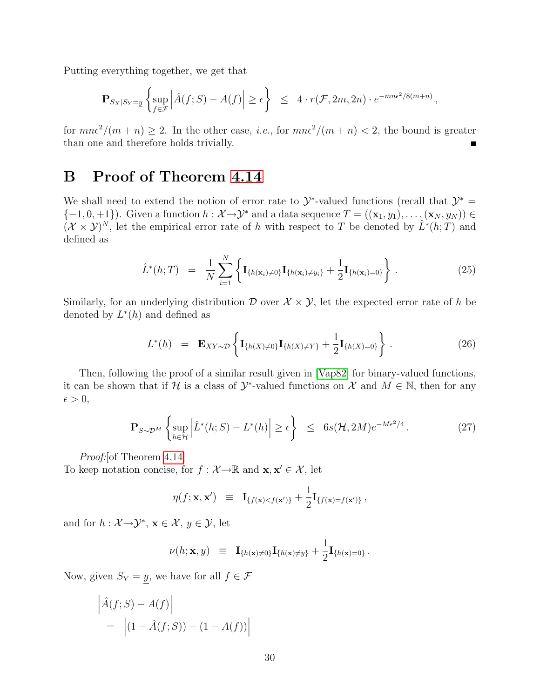Putting everything together, we get that

$$
\mathbf{P}_{S_X|S_Y=\underline{y}}\left\{\sup_{f\in\mathcal{F}}\left|\hat{A}(f;S)-A(f)\right|\geq\epsilon\right\}\ \leq\ 4\cdot r(\mathcal{F},2m,2n)\cdot e^{-mn\epsilon^2/8(m+n)},
$$

for  $mn\epsilon^2/(m+n) \geq 2$ . In the other case, *i.e.*, for  $mn\epsilon^2/(m+n) < 2$ , the bound is greater than one and therefore holds trivially.

# <span id="page-29-0"></span>B Proof of Theorem [4.14](#page-21-3)

We shall need to extend the notion of error rate to  $\mathcal{Y}^*$ -valued functions (recall that  $\mathcal{Y}^* =$  ${-1, 0, +1}$ . Given a function  $h : \mathcal{X} \to \mathcal{Y}^*$  and a data sequence  $T = ((\mathbf{x}_1, y_1), \dots, (\mathbf{x}_N, y_N)) \in$  $(\mathcal{X} \times \mathcal{Y})^N$ , let the empirical error rate of h with respect to T be denoted by  $\hat{L}^*(h;T)$  and defined as

$$
\hat{L}^*(h;T) = \frac{1}{N} \sum_{i=1}^N \left\{ \mathbf{I}_{\{h(\mathbf{x}_i) \neq 0\}} \mathbf{I}_{\{h(\mathbf{x}_i) \neq y_i\}} + \frac{1}{2} \mathbf{I}_{\{h(\mathbf{x}_i) = 0\}} \right\}.
$$
\n(25)

Similarly, for an underlying distribution  $\mathcal D$  over  $\mathcal X \times \mathcal Y$ , let the expected error rate of h be denoted by  $L^*(h)$  and defined as

$$
L^*(h) = \mathbf{E}_{XY \sim \mathcal{D}} \left\{ \mathbf{I}_{\{h(X) \neq 0\}} \mathbf{I}_{\{h(X) \neq Y\}} + \frac{1}{2} \mathbf{I}_{\{h(X) = 0\}} \right\}.
$$
 (26)

Then, following the proof of a similar result given in [\[Vap82\]](#page-33-1) for binary-valued functions, it can be shown that if H is a class of  $\mathcal{Y}^*$ -valued functions on  $\mathcal{X}$  and  $M \in \mathbb{N}$ , then for any  $\epsilon > 0$ ,

<span id="page-29-1"></span>
$$
\mathbf{P}_{S \sim \mathcal{D}^M} \left\{ \sup_{h \in \mathcal{H}} \left| \hat{L}^*(h; S) - L^*(h) \right| \ge \epsilon \right\} \le 6s(\mathcal{H}, 2M)e^{-M\epsilon^2/4}.
$$
 (27)

Proof: [of Theorem [4.14\]](#page-21-3)

To keep notation concise, for  $f : \mathcal{X} \to \mathbb{R}$  and  $\mathbf{x}, \mathbf{x}' \in \mathcal{X}$ , let

$$
\eta(f; \mathbf{x}, \mathbf{x}') \equiv \mathbf{I}_{\{f(\mathbf{x}) < f(\mathbf{x}')\}} + \frac{1}{2} \mathbf{I}_{\{f(\mathbf{x}) = f(\mathbf{x}')\}},
$$

and for  $h: \mathcal{X} \rightarrow \mathcal{Y}^*$ ,  $\mathbf{x} \in \mathcal{X}, y \in \mathcal{Y}$ , let

$$
\nu(h; \mathbf{x}, y) \;\; \equiv \;\; \mathbf{I}_{\{h(\mathbf{x}) \neq 0\}} \mathbf{I}_{\{h(\mathbf{x}) \neq y\}} + \frac{1}{2} \mathbf{I}_{\{h(\mathbf{x}) = 0\}} \, .
$$

Now, given  $S_Y = y$ , we have for all  $f \in \mathcal{F}$ 

$$
\left| \hat{A}(f;S) - A(f) \right|
$$
  
= 
$$
\left| (1 - \hat{A}(f;S)) - (1 - A(f)) \right|
$$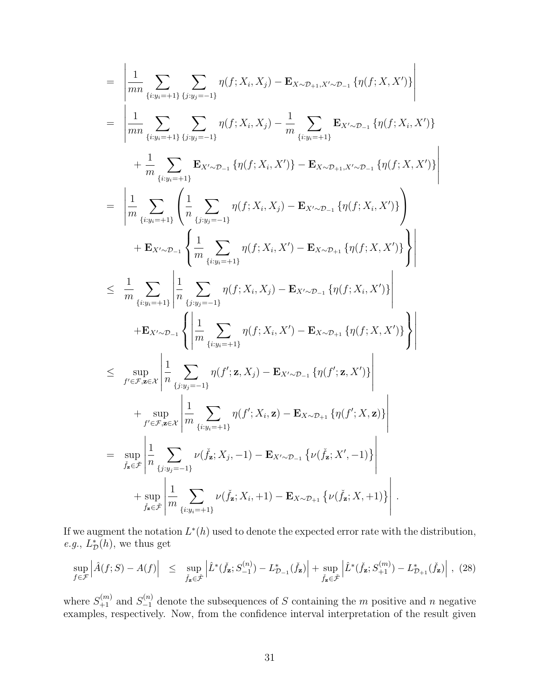$$
= \left| \frac{1}{mn} \sum_{\{i:y_i=+1\}} \sum_{\{j:y_j=-1\}} \eta(f; X_i, X_j) - \mathbf{E}_{X \sim \mathcal{D}_{+1}, X' \sim \mathcal{D}_{-1}} \{\eta(f; X, X')\} \right|
$$
  
\n
$$
= \left| \frac{1}{mn} \sum_{\{i:y_i=+1\}} \sum_{\{j:y_j=-1\}} \eta(f; X_i, X_j) - \frac{1}{m} \sum_{\{i:y_i=+1\}} \mathbf{E}_{X' \sim \mathcal{D}_{-1}} \{\eta(f; X_i, X')\} + \frac{1}{m} \sum_{\{i:y_i=+1\}} \mathbf{E}_{X' \sim \mathcal{D}_{-1}} \{\eta(f; X_i, X')\} - \mathbf{E}_{X \sim \mathcal{D}_{+1}, X' \sim \mathcal{D}_{-1}} \{\eta(f; X, X')\} \right|
$$
  
\n
$$
= \left| \frac{1}{m} \sum_{\{i:y_i=+1\}} \left( \frac{1}{n} \sum_{\{j:y_j=-1\}} \eta(f; X_i, X_j) - \mathbf{E}_{X' \sim \mathcal{D}_{-1}} \{\eta(f; X_i, X')\} \right) + \mathbf{E}_{X' \sim \mathcal{D}_{-1}} \left\{ \frac{1}{m} \sum_{\{i:y_i=+1\}} \eta(f; X_i, X') - \mathbf{E}_{X \sim \mathcal{D}_{+1}} \{\eta(f; X, X')\} \right\} \right|
$$
  
\n
$$
\leq \frac{1}{m} \sum_{\{i:y_i=+1\}} \left| \frac{1}{n} \sum_{\{i:y_i=+1\}} \eta(f; X_i, X_j) - \mathbf{E}_{X' \sim \mathcal{D}_{-1}} \{\eta(f; X_i, X')\} \right| + \mathbf{E}_{X' \sim \mathcal{D}_{-1}} \left\{ \left| \frac{1}{m} \sum_{\{i:y_i=+1\}} \eta(f'; X_i, X') - \mathbf{E}_{X \sim \mathcal{D}_{+1}} \{\eta(f; X, X')\} \right| \right|
$$
  
\n
$$
\leq \sup_{f' \in \mathcal{F}, \mathbf{z} \in \mathcal{X}} \left| \frac{1}{n} \sum_{\{j:y_j=-1\}} \eta(f'; X_i, X_j
$$

If we augment the notation  $L^*(h)$  used to denote the expected error rate with the distribution, *e.g.*,  $L^*_{\mathcal{D}}(h)$ , we thus get

<span id="page-30-0"></span>
$$
\sup_{f \in \mathcal{F}} \left| \hat{A}(f;S) - A(f) \right| \leq \sup_{\check{f}_{\mathbf{z}} \in \check{\mathcal{F}}} \left| \hat{L}^*(\check{f}_{\mathbf{z}};S_{-1}^{(n)}) - L^*_{\mathcal{D}_{-1}}(\check{f}_{\mathbf{z}}) \right| + \sup_{\check{f}_{\mathbf{z}} \in \check{\mathcal{F}}} \left| \hat{L}^*(\check{f}_{\mathbf{z}};S_{+1}^{(m)}) - L^*_{\mathcal{D}_{+1}}(\check{f}_{\mathbf{z}}) \right|, (28)
$$

where  $S_{+1}^{(m)}$  and  $S_{-1}^{(n)}$  denote the subsequences of S containing the m positive and n negative examples, respectively. Now, from the confidence interval interpretation of the result given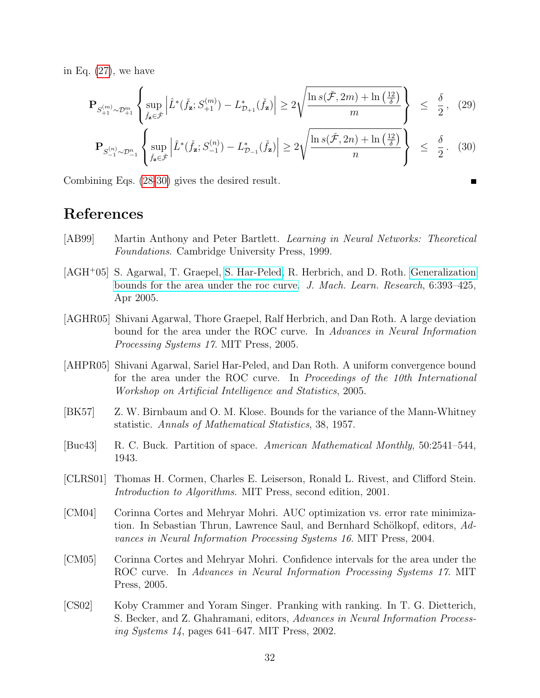in Eq. [\(27\)](#page-29-1), we have

$$
\mathbf{P}_{S_{+1}^{(m)} \sim \mathcal{D}_{+1}^m} \left\{ \sup_{\check{f}_{\mathbf{z}} \in \check{\mathcal{F}}} \left| \hat{L}^*(\check{f}_{\mathbf{z}}; S_{+1}^{(m)}) - L_{\mathcal{D}_{+1}}^*(\check{f}_{\mathbf{z}}) \right| \ge 2\sqrt{\frac{\ln s(\check{\mathcal{F}}, 2m) + \ln\left(\frac{12}{\delta}\right)}{m}} \right\} \le \frac{\delta}{2}, \quad (29)
$$

<span id="page-31-7"></span>
$$
\mathbf{P}_{S_{-1}^{(n)} \sim \mathcal{D}_{-1}^n} \left\{ \sup_{\check{f}_{\mathbf{z}} \in \check{\mathcal{F}}} \left| \hat{L}^*(\check{f}_{\mathbf{z}}; S_{-1}^{(n)}) - L_{\mathcal{D}_{-1}}^*(\check{f}_{\mathbf{z}}) \right| \ge 2 \sqrt{\frac{\ln s(\check{\mathcal{F}}, 2n) + \ln\left(\frac{12}{\delta}\right)}{n}} \right\} \le \frac{\delta}{2} . \tag{30}
$$

Combining Eqs. [\(28-](#page-30-0)[30\)](#page-31-7) gives the desired result.

# References

- <span id="page-31-5"></span>[AB99] Martin Anthony and Peter Bartlett. Learning in Neural Networks: Theoretical Foundations. Cambridge University Press, 1999.
- [AGH<sup>+</sup>05] S. Agarwal, T. Graepel, [S. Har-Peled,](http://www.uiuc.edu/~sariel) R. Herbrich, and D. Roth. [Generalization](http://www.uiuc.edu/~sariel/papers/05/generalization) [bounds for the area under the roc curve.](http://www.uiuc.edu/~sariel/papers/05/generalization) J. Mach. Learn. Research, 6:393–425, Apr 2005.
- [AGHR05] Shivani Agarwal, Thore Graepel, Ralf Herbrich, and Dan Roth. A large deviation bound for the area under the ROC curve. In Advances in Neural Information Processing Systems 17. MIT Press, 2005.
- [AHPR05] Shivani Agarwal, Sariel Har-Peled, and Dan Roth. A uniform convergence bound for the area under the ROC curve. In Proceedings of the 10th International Workshop on Artificial Intelligence and Statistics, 2005.
- <span id="page-31-3"></span>[BK57] Z. W. Birnbaum and O. M. Klose. Bounds for the variance of the Mann-Whitney statistic. Annals of Mathematical Statistics, 38, 1957.
- <span id="page-31-6"></span>[Buc43] R. C. Buck. Partition of space. American Mathematical Monthly, 50:2541–544, 1943.
- <span id="page-31-4"></span>[CLRS01] Thomas H. Cormen, Charles E. Leiserson, Ronald L. Rivest, and Clifford Stein. Introduction to Algorithms. MIT Press, second edition, 2001.
- <span id="page-31-1"></span>[CM04] Corinna Cortes and Mehryar Mohri. AUC optimization vs. error rate minimization. In Sebastian Thrun, Lawrence Saul, and Bernhard Schölkopf, editors, Advances in Neural Information Processing Systems 16. MIT Press, 2004.
- <span id="page-31-2"></span>[CM05] Corinna Cortes and Mehryar Mohri. Confidence intervals for the area under the ROC curve. In Advances in Neural Information Processing Systems 17. MIT Press, 2005.
- <span id="page-31-0"></span>[CS02] Koby Crammer and Yoram Singer. Pranking with ranking. In T. G. Dietterich, S. Becker, and Z. Ghahramani, editors, Advances in Neural Information Processing Systems 14, pages 641–647. MIT Press, 2002.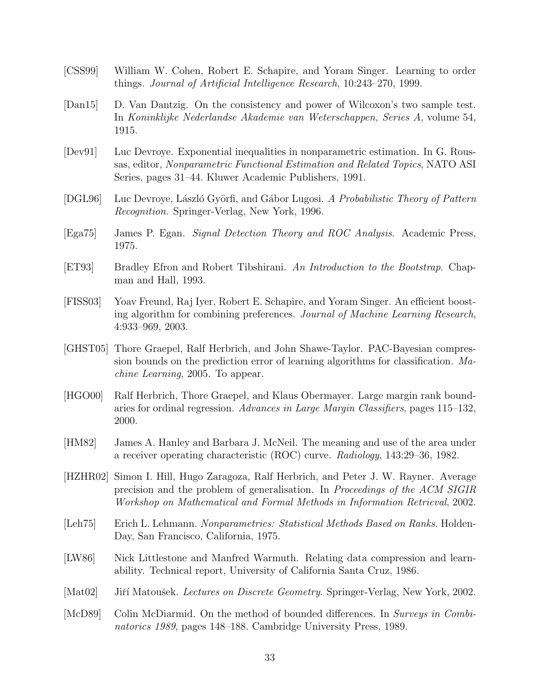- <span id="page-32-1"></span>[CSS99] William W. Cohen, Robert E. Schapire, and Yoram Singer. Learning to order things. Journal of Artificial Intelligence Research, 10:243–270, 1999.
- <span id="page-32-8"></span>[Dan15] D. Van Dantzig. On the consistency and power of Wilcoxon's two sample test. In Koninklijke Nederlandse Akademie van Weterschappen, Series A, volume 54, 1915.
- <span id="page-32-11"></span>[Dev91] Luc Devroye. Exponential inequalities in nonparametric estimation. In G. Roussas, editor, Nonparametric Functional Estimation and Related Topics, NATO ASI Series, pages 31–44. Kluwer Academic Publishers, 1991.
- <span id="page-32-10"></span>[DGL96] Luc Devroye, László Györfi, and Gábor Lugosi. A Probabilistic Theory of Pattern Recognition. Springer-Verlag, New York, 1996.
- <span id="page-32-3"></span>[Ega75] James P. Egan. Signal Detection Theory and ROC Analysis. Academic Press, 1975.
- <span id="page-32-9"></span>[ET93] Bradley Efron and Robert Tibshirani. An Introduction to the Bootstrap. Chapman and Hall, 1993.
- <span id="page-32-0"></span>[FISS03] Yoav Freund, Raj Iyer, Robert E. Schapire, and Yoram Singer. An efficient boosting algorithm for combining preferences. Journal of Machine Learning Research, 4:933–969, 2003.
- <span id="page-32-14"></span>[GHST05] Thore Graepel, Ralf Herbrich, and John Shawe-Taylor. PAC-Bayesian compression bounds on the prediction error of learning algorithms for classification. Machine Learning, 2005. To appear.
- <span id="page-32-2"></span>[HGO00] Ralf Herbrich, Thore Graepel, and Klaus Obermayer. Large margin rank boundaries for ordinal regression. Advances in Large Margin Classifiers, pages 115–132, 2000.
- <span id="page-32-7"></span>[HM82] James A. Hanley and Barbara J. McNeil. The meaning and use of the area under a receiver operating characteristic (ROC) curve. Radiology, 143:29–36, 1982.
- <span id="page-32-4"></span>[HZHR02] Simon I. Hill, Hugo Zaragoza, Ralf Herbrich, and Peter J. W. Rayner. Average precision and the problem of generalisation. In Proceedings of the ACM SIGIR Workshop on Mathematical and Formal Methods in Information Retrieval, 2002.
- <span id="page-32-6"></span>[Leh<sub>75</sub>] Erich L. Lehmann. Nonparametrics: Statistical Methods Based on Ranks. Holden-Day, San Francisco, California, 1975.
- <span id="page-32-13"></span>[LW86] Nick Littlestone and Manfred Warmuth. Relating data compression and learnability. Technical report, University of California Santa Cruz, 1986.
- <span id="page-32-12"></span>[Mat02] Jiří Matoušek. Lectures on Discrete Geometry. Springer-Verlag, New York, 2002.
- <span id="page-32-5"></span>[McD89] Colin McDiarmid. On the method of bounded differences. In Surveys in Combinatorics 1989, pages 148–188. Cambridge University Press, 1989.